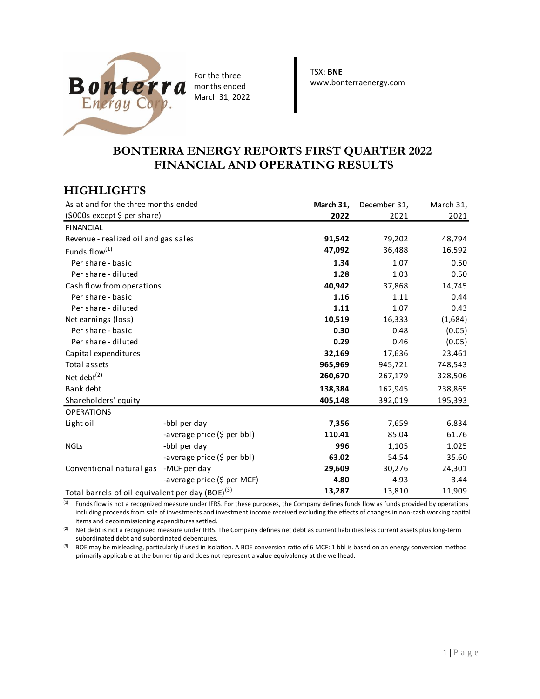

For the three months ended March 31, 2022 TSX: **BNE** www.bonterraenergy.com

# **BONTERRA ENERGY REPORTS FIRST QUARTER 2022 FINANCIAL AND OPERATING RESULTS**

# **HIGHLIGHTS**

| As at and for the three months ended                         |                             | March 31, | December 31, | March 31, |
|--------------------------------------------------------------|-----------------------------|-----------|--------------|-----------|
| (\$000s except \$ per share)                                 |                             | 2022      | 2021         | 2021      |
| <b>FINANCIAL</b>                                             |                             |           |              |           |
| Revenue - realized oil and gas sales                         |                             | 91,542    | 79,202       | 48,794    |
| Funds flow <sup>(1)</sup>                                    |                             | 47,092    | 36,488       | 16,592    |
| Per share - basic                                            |                             | 1.34      | 1.07         | 0.50      |
| Per share - diluted                                          |                             | 1.28      | 1.03         | 0.50      |
| Cash flow from operations                                    |                             | 40,942    | 37,868       | 14,745    |
| Per share - basic                                            |                             | 1.16      | 1.11         | 0.44      |
| Per share - diluted                                          |                             | 1.11      | 1.07         | 0.43      |
| Net earnings (loss)                                          |                             | 10,519    | 16,333       | (1,684)   |
| Per share - basic                                            |                             | 0.30      | 0.48         | (0.05)    |
| Per share - diluted                                          |                             | 0.29      | 0.46         | (0.05)    |
| Capital expenditures                                         |                             | 32,169    | 17,636       | 23,461    |
| Total assets                                                 |                             | 965,969   | 945,721      | 748,543   |
| Net debt $^{(2)}$                                            |                             | 260,670   | 267,179      | 328,506   |
| Bank debt                                                    |                             | 138,384   | 162,945      | 238,865   |
| Shareholders' equity                                         |                             | 405,148   | 392,019      | 195,393   |
| <b>OPERATIONS</b>                                            |                             |           |              |           |
| Light oil                                                    | -bbl per day                | 7,356     | 7,659        | 6,834     |
|                                                              | -average price (\$ per bbl) | 110.41    | 85.04        | 61.76     |
| <b>NGLs</b>                                                  | -bbl per day                | 996       | 1,105        | 1,025     |
|                                                              | -average price (\$ per bbl) | 63.02     | 54.54        | 35.60     |
| Conventional natural gas -MCF per day                        |                             | 29,609    | 30,276       | 24,301    |
|                                                              | -average price (\$ per MCF) | 4.80      | 4.93         | 3.44      |
| Total barrels of oil equivalent per day (BOE) <sup>(3)</sup> |                             | 13,287    | 13,810       | 11,909    |

<sup>(1)</sup> Funds flow is not a recognized measure under IFRS. For these purposes, the Company defines funds flow as funds provided by operations including proceeds from sale of investments and investment income received excluding the effects of changes in non-cash working capital items and decommissioning expenditures settled.

<sup>(2)</sup> Net debt is not a recognized measure under IFRS. The Company defines net debt as current liabilities less current assets plus long-term subordinated debt and subordinated debentures.

<sup>(3)</sup> BOE may be misleading, particularly if used in isolation. A BOE conversion ratio of 6 MCF: 1 bbl is based on an energy conversion method primarily applicable at the burner tip and does not represent a value equivalency at the wellhead.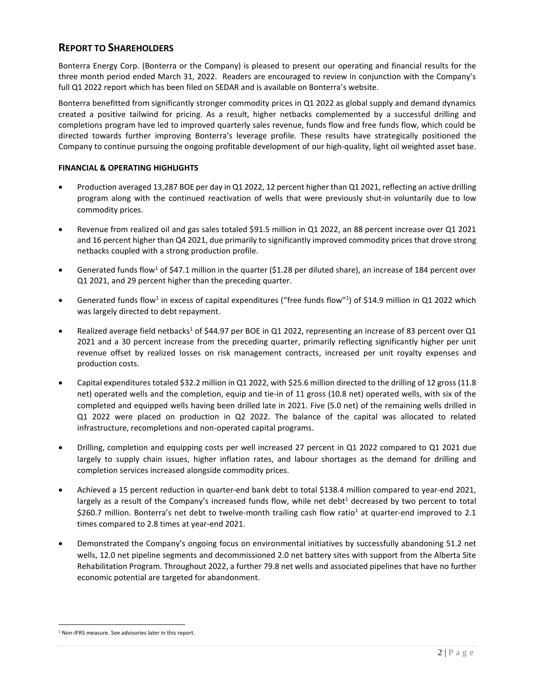## **REPORT TO SHAREHOLDERS**

Bonterra Energy Corp. (Bonterra or the Company) is pleased to present our operating and financial results for the three month period ended March 31, 2022. Readers are encouraged to review in conjunction with the Company's full Q1 2022 report which has been filed on SEDAR and is available on Bonterra's website.

Bonterra benefitted from significantly stronger commodity prices in Q1 2022 as global supply and demand dynamics created a positive tailwind for pricing. As a result, higher netbacks complemented by a successful drilling and completions program have led to improved quarterly sales revenue, funds flow and free funds flow, which could be directed towards further improving Bonterra's leverage profile. These results have strategically positioned the Company to continue pursuing the ongoing profitable development of our high-quality, light oil weighted asset base.

### **FINANCIAL & OPERATING HIGHLIGHTS**

- Production averaged 13,287 BOE per day in Q1 2022, 12 percent higher than Q1 2021, reflecting an active drilling program along with the continued reactivation of wells that were previously shut-in voluntarily due to low commodity prices.
- Revenue from realized oil and gas sales totaled \$91.5 million in Q1 2022, an 88 percent increase over Q1 2021 and 16 percent higher than Q4 2021, due primarily to significantly improved commodity prices that drove strong netbacks coupled with a strong production profile.
- Generated funds flow<sup>1</sup> of \$47.1 million in the quarter (\$1.28 per diluted share), an increase of 184 percent over Q1 2021, and 29 percent higher than the preceding quarter.
- Generated funds flow<sup>1</sup> in excess of capital expenditures ("free funds flow"<sup>1</sup>) of \$14.9 million in Q1 2022 which was largely directed to debt repayment.
- Realized average field netbacks<sup>1</sup> of \$44.97 per BOE in Q1 2022, representing an increase of 83 percent over Q1 2021 and a 30 percent increase from the preceding quarter, primarily reflecting significantly higher per unit revenue offset by realized losses on risk management contracts, increased per unit royalty expenses and production costs.
- Capital expenditures totaled \$32.2 million in Q1 2022, with \$25.6 million directed to the drilling of 12 gross (11.8 net) operated wells and the completion, equip and tie-in of 11 gross (10.8 net) operated wells, with six of the completed and equipped wells having been drilled late in 2021. Five (5.0 net) of the remaining wells drilled in Q1 2022 were placed on production in Q2 2022. The balance of the capital was allocated to related infrastructure, recompletions and non-operated capital programs.
- Drilling, completion and equipping costs per well increased 27 percent in Q1 2022 compared to Q1 2021 due largely to supply chain issues, higher inflation rates, and labour shortages as the demand for drilling and completion services increased alongside commodity prices.
- Achieved a 15 percent reduction in quarter-end bank debt to total \$138.4 million compared to year-end 2021, largely as a result of the Company's increased funds flow, while net debt<sup>1</sup> decreased by two percent to total \$260.7 million. Bonterra's net debt to twelve-month trailing cash flow ratio<sup>1</sup> at quarter-end improved to 2.1 times compared to 2.8 times at year-end 2021.
- Demonstrated the Company's ongoing focus on environmental initiatives by successfully abandoning 51.2 net wells, 12.0 net pipeline segments and decommissioned 2.0 net battery sites with support from the Alberta Site Rehabilitation Program. Throughout 2022, a further 79.8 net wells and associated pipelines that have no further economic potential are targeted for abandonment.

<sup>1</sup> Non-IFRS measure. See advisories later in this report.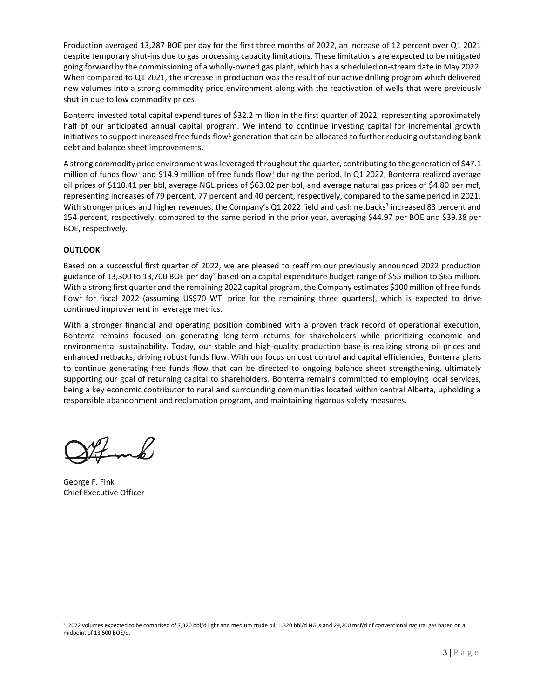Production averaged 13,287 BOE per day for the first three months of 2022, an increase of 12 percent over Q1 2021 despite temporary shut-ins due to gas processing capacity limitations. These limitations are expected to be mitigated going forward by the commissioning of a wholly-owned gas plant, which has a scheduled on-stream date in May 2022. When compared to Q1 2021, the increase in production was the result of our active drilling program which delivered new volumes into a strong commodity price environment along with the reactivation of wells that were previously shut-in due to low commodity prices.

Bonterra invested total capital expenditures of \$32.2 million in the first quarter of 2022, representing approximately half of our anticipated annual capital program. We intend to continue investing capital for incremental growth initiatives to support increased free funds flow<sup>1</sup> generation that can be allocated to further reducing outstanding bank debt and balance sheet improvements.

A strong commodity price environment was leveraged throughout the quarter, contributing to the generation of \$47.1 million of funds flow<sup>1</sup> and \$14.9 million of free funds flow<sup>1</sup> during the period. In Q1 2022, Bonterra realized average oil prices of \$110.41 per bbl, average NGL prices of \$63.02 per bbl, and average natural gas prices of \$4.80 per mcf, representing increases of 79 percent, 77 percent and 40 percent, respectively, compared to the same period in 2021. With stronger prices and higher revenues, the Company's Q1 2022 field and cash netbacks<sup>1</sup> increased 83 percent and 154 percent, respectively, compared to the same period in the prior year, averaging \$44.97 per BOE and \$39.38 per BOE, respectively.

### **OUTLOOK**

Based on a successful first quarter of 2022, we are pleased to reaffirm our previously announced 2022 production guidance of 13,300 to 13,700 BOE per day<sup>2</sup> based on a capital expenditure budget range of \$55 million to \$65 million. With a strong first quarter and the remaining 2022 capital program, the Company estimates \$100 million of free funds flow<sup>1</sup> for fiscal 2022 (assuming US\$70 WTI price for the remaining three quarters), which is expected to drive continued improvement in leverage metrics.

With a stronger financial and operating position combined with a proven track record of operational execution, Bonterra remains focused on generating long‐term returns for shareholders while prioritizing economic and environmental sustainability. Today, our stable and high-quality production base is realizing strong oil prices and enhanced netbacks, driving robust funds flow. With our focus on cost control and capital efficiencies, Bonterra plans to continue generating free funds flow that can be directed to ongoing balance sheet strengthening, ultimately supporting our goal of returning capital to shareholders. Bonterra remains committed to employing local services, being a key economic contributor to rural and surrounding communities located within central Alberta, upholding a responsible abandonment and reclamation program, and maintaining rigorous safety measures.

mb/

George F. Fink Chief Executive Officer

<sup>2</sup> 2022 volumes expected to be comprised of 7,320 bbl/d light and medium crude oil, 1,320 bbl/d NGLs and 29,200 mcf/d of conventional natural gas based on a midpoint of 13,500 BOE/d.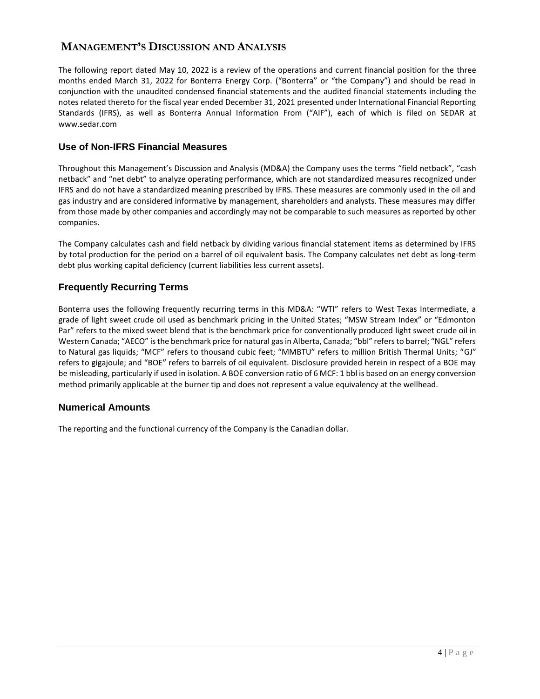# **MANAGEMENT'S DISCUSSION AND ANALYSIS**

The following report dated May 10, 2022 is a review of the operations and current financial position for the three months ended March 31, 2022 for Bonterra Energy Corp. ("Bonterra" or "the Company") and should be read in conjunction with the unaudited condensed financial statements and the audited financial statements including the notes related thereto for the fiscal year ended December 31, 2021 presented under International Financial Reporting Standards (IFRS), as well as Bonterra Annual Information From ("AIF"), each of which is filed on SEDAR at www.sedar.com

## **Use of Non-IFRS Financial Measures**

Throughout this Management's Discussion and Analysis (MD&A) the Company uses the terms "field netback", "cash netback" and "net debt" to analyze operating performance, which are not standardized measures recognized under IFRS and do not have a standardized meaning prescribed by IFRS. These measures are commonly used in the oil and gas industry and are considered informative by management, shareholders and analysts. These measures may differ from those made by other companies and accordingly may not be comparable to such measures as reported by other companies.

The Company calculates cash and field netback by dividing various financial statement items as determined by IFRS by total production for the period on a barrel of oil equivalent basis. The Company calculates net debt as long-term debt plus working capital deficiency (current liabilities less current assets).

## **Frequently Recurring Terms**

Bonterra uses the following frequently recurring terms in this MD&A: "WTI" refers to West Texas Intermediate, a grade of light sweet crude oil used as benchmark pricing in the United States; "MSW Stream Index" or "Edmonton Par" refers to the mixed sweet blend that is the benchmark price for conventionally produced light sweet crude oil in Western Canada; "AECO" is the benchmark price for natural gas in Alberta, Canada; "bbl" refers to barrel; "NGL" refers to Natural gas liquids; "MCF" refers to thousand cubic feet; "MMBTU" refers to million British Thermal Units; "GJ" refers to gigajoule; and "BOE" refers to barrels of oil equivalent. Disclosure provided herein in respect of a BOE may be misleading, particularly if used in isolation. A BOE conversion ratio of 6 MCF: 1 bbl is based on an energy conversion method primarily applicable at the burner tip and does not represent a value equivalency at the wellhead.

## **Numerical Amounts**

The reporting and the functional currency of the Company is the Canadian dollar.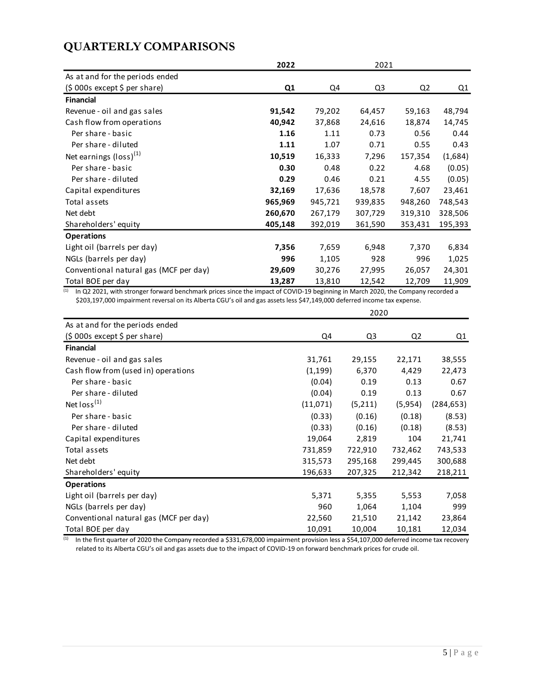# **QUARTERLY COMPARISONS**

|                                        | 2022    |         | 2021           |         |         |
|----------------------------------------|---------|---------|----------------|---------|---------|
| As at and for the periods ended        |         |         |                |         |         |
| $(5000s$ except \$ per share)          | Q1      | Q4      | Q <sub>3</sub> | Q2      | Q1      |
| <b>Financial</b>                       |         |         |                |         |         |
| Revenue - oil and gas sales            | 91,542  | 79,202  | 64,457         | 59,163  | 48,794  |
| Cash flow from operations              | 40,942  | 37,868  | 24,616         | 18,874  | 14,745  |
| Per share - basic                      | 1.16    | 1.11    | 0.73           | 0.56    | 0.44    |
| Per share - diluted                    | 1.11    | 1.07    | 0.71           | 0.55    | 0.43    |
| Net earnings (loss) <sup>(1)</sup>     | 10,519  | 16,333  | 7,296          | 157,354 | (1,684) |
| Per share - basic                      | 0.30    | 0.48    | 0.22           | 4.68    | (0.05)  |
| Per share - diluted                    | 0.29    | 0.46    | 0.21           | 4.55    | (0.05)  |
| Capital expenditures                   | 32,169  | 17,636  | 18,578         | 7,607   | 23,461  |
| Total assets                           | 965,969 | 945,721 | 939,835        | 948,260 | 748,543 |
| Net debt                               | 260,670 | 267,179 | 307,729        | 319,310 | 328,506 |
| Shareholders' equity                   | 405,148 | 392,019 | 361,590        | 353,431 | 195,393 |
| <b>Operations</b>                      |         |         |                |         |         |
| Light oil (barrels per day)            | 7,356   | 7,659   | 6,948          | 7,370   | 6,834   |
| NGLs (barrels per day)                 | 996     | 1,105   | 928            | 996     | 1,025   |
| Conventional natural gas (MCF per day) | 29,609  | 30,276  | 27,995         | 26,057  | 24,301  |
| Total BOE per day                      | 13,287  | 13,810  | 12,542         | 12,709  | 11,909  |

<sup>(1)</sup> In Q2 2021, with stronger forward benchmark prices since the impact of COVID-19 beginning in March 2020, the Company recorded a \$203,197,000 impairment reversal on its Alberta CGU's oil and gas assets less \$47,149,000 deferred income tax expense.

|                                        | 2020     |         |                |            |  |
|----------------------------------------|----------|---------|----------------|------------|--|
| As at and for the periods ended        |          |         |                |            |  |
| $(5000s$ except \$ per share)          | Q4       | Q3      | Q <sub>2</sub> | Q1         |  |
| <b>Financial</b>                       |          |         |                |            |  |
| Revenue - oil and gas sales            | 31,761   | 29,155  | 22,171         | 38,555     |  |
| Cash flow from (used in) operations    | (1, 199) | 6,370   | 4,429          | 22,473     |  |
| Per share - basic                      | (0.04)   | 0.19    | 0.13           | 0.67       |  |
| Per share - diluted                    | (0.04)   | 0.19    | 0.13           | 0.67       |  |
| Net $loss^{(1)}$                       | (11,071) | (5,211) | (5,954)        | (284, 653) |  |
| Per share - basic                      | (0.33)   | (0.16)  | (0.18)         | (8.53)     |  |
| Per share - diluted                    | (0.33)   | (0.16)  | (0.18)         | (8.53)     |  |
| Capital expenditures                   | 19,064   | 2,819   | 104            | 21,741     |  |
| Total assets                           | 731,859  | 722,910 | 732,462        | 743,533    |  |
| Net debt                               | 315,573  | 295,168 | 299,445        | 300,688    |  |
| Shareholders' equity                   | 196,633  | 207,325 | 212,342        | 218,211    |  |
| <b>Operations</b>                      |          |         |                |            |  |
| Light oil (barrels per day)            | 5,371    | 5,355   | 5,553          | 7,058      |  |
| NGLs (barrels per day)                 | 960      | 1,064   | 1,104          | 999        |  |
| Conventional natural gas (MCF per day) | 22,560   | 21,510  | 21,142         | 23,864     |  |
| Total BOE per day                      | 10,091   | 10,004  | 10,181         | 12,034     |  |

 $^{(1)}$  In the first quarter of 2020 the Company recorded a \$331,678,000 impairment provision less a \$54,107,000 deferred income tax recovery related to its Alberta CGU's oil and gas assets due to the impact of COVID-19 on forward benchmark prices for crude oil.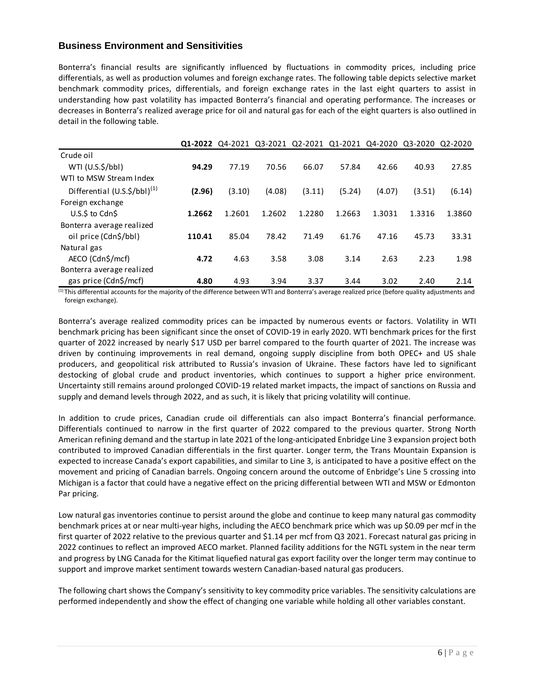## **Business Environment and Sensitivities**

Bonterra's financial results are significantly influenced by fluctuations in commodity prices, including price differentials, as well as production volumes and foreign exchange rates. The following table depicts selective market benchmark commodity prices, differentials, and foreign exchange rates in the last eight quarters to assist in understanding how past volatility has impacted Bonterra's financial and operating performance. The increases or decreases in Bonterra's realized average price for oil and natural gas for each of the eight quarters is also outlined in detail in the following table.

|                                  | 01-2022 | 04-2021 03-2021 02-2021 |        |        |        |        | Q1-2021 Q4-2020 Q3-2020 Q2-2020 |        |
|----------------------------------|---------|-------------------------|--------|--------|--------|--------|---------------------------------|--------|
| Crude oil                        |         |                         |        |        |        |        |                                 |        |
| $WTI (U.S.\frac{2}{5}/bbI)$      | 94.29   | 77.19                   | 70.56  | 66.07  | 57.84  | 42.66  | 40.93                           | 27.85  |
| WTI to MSW Stream Index          |         |                         |        |        |        |        |                                 |        |
| Differential $(U.S.\$/bb)^{(1)}$ | (2.96)  | (3.10)                  | (4.08) | (3.11) | (5.24) | (4.07) | (3.51)                          | (6.14) |
| Foreign exchange                 |         |                         |        |        |        |        |                                 |        |
| U.S.S to CdnS                    | 1.2662  | 1.2601                  | 1.2602 | 1.2280 | 1.2663 | 1.3031 | 1.3316                          | 1.3860 |
| Bonterra average realized        |         |                         |        |        |        |        |                                 |        |
| oil price (Cdn\$/bbl)            | 110.41  | 85.04                   | 78.42  | 71.49  | 61.76  | 47.16  | 45.73                           | 33.31  |
| Natural gas                      |         |                         |        |        |        |        |                                 |        |
| AECO (Cdn\$/mcf)                 | 4.72    | 4.63                    | 3.58   | 3.08   | 3.14   | 2.63   | 2.23                            | 1.98   |
| Bonterra average realized        |         |                         |        |        |        |        |                                 |        |
| gas price (Cdn\$/mcf)            | 4.80    | 4.93                    | 3.94   | 3.37   | 3.44   | 3.02   | 2.40                            | 2.14   |

(1) This differential accounts for the majority of the difference between WTI and Bonterra's average realized price (before quality adjustments and foreign exchange).

Bonterra's average realized commodity prices can be impacted by numerous events or factors. Volatility in WTI benchmark pricing has been significant since the onset of COVID-19 in early 2020. WTI benchmark prices for the first quarter of 2022 increased by nearly \$17 USD per barrel compared to the fourth quarter of 2021. The increase was driven by continuing improvements in real demand, ongoing supply discipline from both OPEC+ and US shale producers, and geopolitical risk attributed to Russia's invasion of Ukraine. These factors have led to significant destocking of global crude and product inventories, which continues to support a higher price environment. Uncertainty still remains around prolonged COVID-19 related market impacts, the impact of sanctions on Russia and supply and demand levels through 2022, and as such, it is likely that pricing volatility will continue.

In addition to crude prices, Canadian crude oil differentials can also impact Bonterra's financial performance. Differentials continued to narrow in the first quarter of 2022 compared to the previous quarter. Strong North American refining demand and the startup in late 2021 of the long-anticipated Enbridge Line 3 expansion project both contributed to improved Canadian differentials in the first quarter. Longer term, the Trans Mountain Expansion is expected to increase Canada's export capabilities, and similar to Line 3, is anticipated to have a positive effect on the movement and pricing of Canadian barrels. Ongoing concern around the outcome of Enbridge's Line 5 crossing into Michigan is a factor that could have a negative effect on the pricing differential between WTI and MSW or Edmonton Par pricing.

Low natural gas inventories continue to persist around the globe and continue to keep many natural gas commodity benchmark prices at or near multi-year highs, including the AECO benchmark price which was up \$0.09 per mcf in the first quarter of 2022 relative to the previous quarter and \$1.14 per mcf from Q3 2021. Forecast natural gas pricing in 2022 continues to reflect an improved AECO market. Planned facility additions for the NGTL system in the near term and progress by LNG Canada for the Kitimat liquefied natural gas export facility over the longer term may continue to support and improve market sentiment towards western Canadian-based natural gas producers.

The following chart shows the Company's sensitivity to key commodity price variables. The sensitivity calculations are performed independently and show the effect of changing one variable while holding all other variables constant.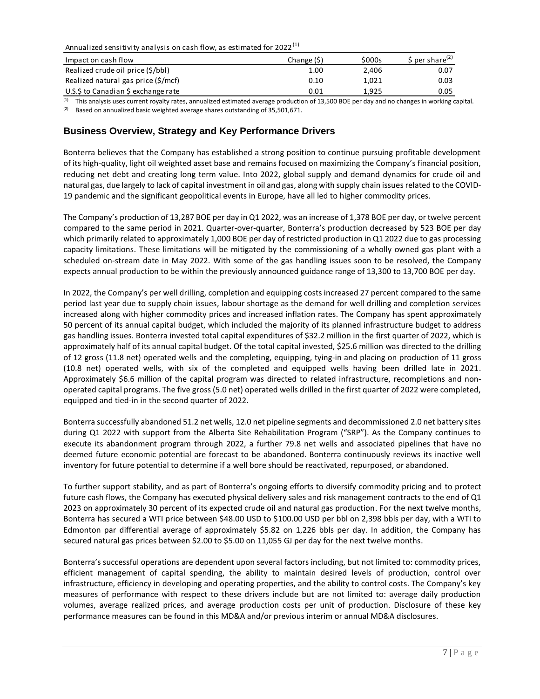Annualized sensitivity analysis on cash flow, as estimated for  $2022^{(1)}$ 

| Impact on cash flow                 | Change (\$) | \$000s | \$ per share <sup>(2)</sup> |
|-------------------------------------|-------------|--------|-----------------------------|
| Realized crude oil price (\$/bbl)   | 1.00        | 2.406  | 0.07                        |
| Realized natural gas price (\$/mcf) | 0.10        | 1.021  | 0.03                        |
| U.S.\$ to Canadian \$ exchange rate | 0.01        | 1.925  | 0.05                        |

<sup>(1)</sup> This analysis uses current royalty rates, annualized estimated average production of 13,500 BOE per day and no changes in working capital.

<sup>(2)</sup> Based on annualized basic weighted average shares outstanding of 35,501,671.

### **Business Overview, Strategy and Key Performance Drivers**

Bonterra believes that the Company has established a strong position to continue pursuing profitable development of its high-quality, light oil weighted asset base and remains focused on maximizing the Company's financial position, reducing net debt and creating long term value. Into 2022, global supply and demand dynamics for crude oil and natural gas, due largely to lack of capital investment in oil and gas, along with supply chain issues related to the COVID-19 pandemic and the significant geopolitical events in Europe, have all led to higher commodity prices.

The Company's production of 13,287 BOE per day in Q1 2022, was an increase of 1,378 BOE per day, or twelve percent compared to the same period in 2021. Quarter-over-quarter, Bonterra's production decreased by 523 BOE per day which primarily related to approximately 1,000 BOE per day of restricted production in Q1 2022 due to gas processing capacity limitations. These limitations will be mitigated by the commissioning of a wholly owned gas plant with a scheduled on-stream date in May 2022. With some of the gas handling issues soon to be resolved, the Company expects annual production to be within the previously announced guidance range of 13,300 to 13,700 BOE per day.

In 2022, the Company's per well drilling, completion and equipping costs increased 27 percent compared to the same period last year due to supply chain issues, labour shortage as the demand for well drilling and completion services increased along with higher commodity prices and increased inflation rates. The Company has spent approximately 50 percent of its annual capital budget, which included the majority of its planned infrastructure budget to address gas handling issues. Bonterra invested total capital expenditures of \$32.2 million in the first quarter of 2022, which is approximately half of its annual capital budget. Of the total capital invested, \$25.6 million was directed to the drilling of 12 gross (11.8 net) operated wells and the completing, equipping, tying-in and placing on production of 11 gross (10.8 net) operated wells, with six of the completed and equipped wells having been drilled late in 2021. Approximately \$6.6 million of the capital program was directed to related infrastructure, recompletions and nonoperated capital programs. The five gross (5.0 net) operated wells drilled in the first quarter of 2022 were completed, equipped and tied-in in the second quarter of 2022.

Bonterra successfully abandoned 51.2 net wells, 12.0 net pipeline segments and decommissioned 2.0 net battery sites during Q1 2022 with support from the Alberta Site Rehabilitation Program ("SRP"). As the Company continues to execute its abandonment program through 2022, a further 79.8 net wells and associated pipelines that have no deemed future economic potential are forecast to be abandoned. Bonterra continuously reviews its inactive well inventory for future potential to determine if a well bore should be reactivated, repurposed, or abandoned.

To further support stability, and as part of Bonterra's ongoing efforts to diversify commodity pricing and to protect future cash flows, the Company has executed physical delivery sales and risk management contracts to the end of Q1 2023 on approximately 30 percent of its expected crude oil and natural gas production. For the next twelve months, Bonterra has secured a WTI price between \$48.00 USD to \$100.00 USD per bbl on 2,398 bbls per day, with a WTI to Edmonton par differential average of approximately \$5.82 on 1,226 bbls per day. In addition, the Company has secured natural gas prices between \$2.00 to \$5.00 on 11,055 GJ per day for the next twelve months.

Bonterra's successful operations are dependent upon several factors including, but not limited to: commodity prices, efficient management of capital spending, the ability to maintain desired levels of production, control over infrastructure, efficiency in developing and operating properties, and the ability to control costs. The Company's key measures of performance with respect to these drivers include but are not limited to: average daily production volumes, average realized prices, and average production costs per unit of production. Disclosure of these key performance measures can be found in this MD&A and/or previous interim or annual MD&A disclosures.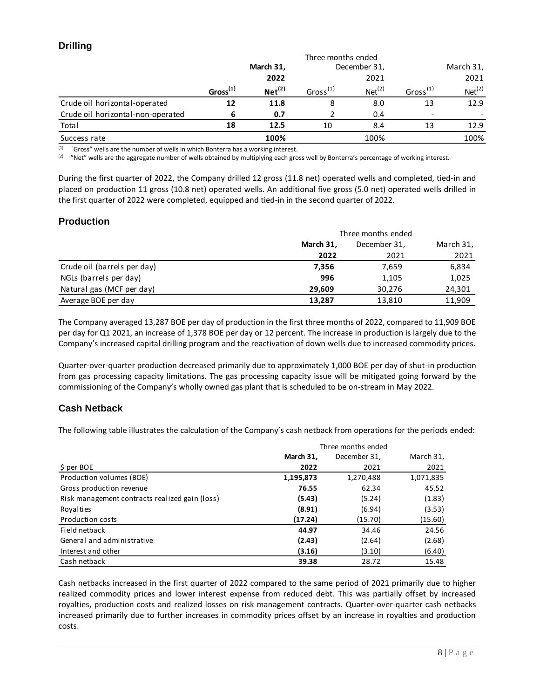## **Drilling**

|                                   | Three months ended |                    |                |                    |                          |                    |  |
|-----------------------------------|--------------------|--------------------|----------------|--------------------|--------------------------|--------------------|--|
|                                   |                    | March 31,          |                | December 31,       |                          | March 31,          |  |
|                                   |                    | 2022               |                | 2021               |                          | 2021               |  |
|                                   | $Gross^{(1)}$      | Net <sup>(2)</sup> | Gross $^{(1)}$ | Net <sup>(2)</sup> | Gross $^{(1)}$           | Net <sup>(2)</sup> |  |
| Crude oil horizontal-operated     | 12                 | 11.8               | 8              | 8.0                | 13                       | 12.9               |  |
| Crude oil horizontal-non-operated | 6                  | 0.7                |                | 0.4                | $\overline{\phantom{a}}$ |                    |  |
| Total                             | 18                 | 12.5               | 10             | 8.4                | 13                       | 12.9               |  |
| Success rate                      |                    | 100%               |                | 100%               |                          | 100%               |  |

 $(1)$  "Gross" wells are the number of wells in which Bonterra has a working interest.

<sup>(2)</sup> "Net" wells are the aggregate number of wells obtained by multiplying each gross well by Bonterra's percentage of working interest.

During the first quarter of 2022, the Company drilled 12 gross (11.8 net) operated wells and completed, tied-in and placed on production 11 gross (10.8 net) operated wells. An additional five gross (5.0 net) operated wells drilled in the first quarter of 2022 were completed, equipped and tied-in in the second quarter of 2022.

## **Production**

|                             | Three months ended |              |           |
|-----------------------------|--------------------|--------------|-----------|
|                             | March 31,          | December 31, | March 31, |
|                             | 2022               | 2021         | 2021      |
| Crude oil (barrels per day) | 7,356              | 7,659        | 6,834     |
| NGLs (barrels per day)      | 996                | 1,105        | 1,025     |
| Natural gas (MCF per day)   | 29.609             | 30,276       | 24,301    |
| Average BOE per day         | 13,287             | 13,810       | 11,909    |

The Company averaged 13,287 BOE per day of production in the first three months of 2022, compared to 11,909 BOE per day for Q1 2021, an increase of 1,378 BOE per day or 12 percent. The increase in production is largely due to the Company's increased capital drilling program and the reactivation of down wells due to increased commodity prices.

Quarter-over-quarter production decreased primarily due to approximately 1,000 BOE per day of shut-in production from gas processing capacity limitations. The gas processing capacity issue will be mitigated going forward by the commissioning of the Company's wholly owned gas plant that is scheduled to be on-stream in May 2022.

## **Cash Netback**

The following table illustrates the calculation of the Company's cash netback from operations for the periods ended:

|                                                | Three months ended |              |           |  |
|------------------------------------------------|--------------------|--------------|-----------|--|
|                                                | March 31,          | December 31, | March 31, |  |
| $$$ per BOE                                    | 2022               | 2021         | 2021      |  |
| Production volumes (BOE)                       | 1,195,873          | 1,270,488    | 1,071,835 |  |
| Gross production revenue                       | 76.55              | 62.34        | 45.52     |  |
| Risk management contracts realized gain (loss) | (5.43)             | (5.24)       | (1.83)    |  |
| Royalties                                      | (8.91)             | (6.94)       | (3.53)    |  |
| <b>Production costs</b>                        | (17.24)            | (15.70)      | (15.60)   |  |
| Field netback                                  | 44.97              | 34.46        | 24.56     |  |
| General and administrative                     | (2.43)             | (2.64)       | (2.68)    |  |
| Interest and other                             | (3.16)             | (3.10)       | (6.40)    |  |
| Cash netback                                   | 39.38              | 28.72        | 15.48     |  |

Cash netbacks increased in the first quarter of 2022 compared to the same period of 2021 primarily due to higher realized commodity prices and lower interest expense from reduced debt. This was partially offset by increased royalties, production costs and realized losses on risk management contracts. Quarter-over-quarter cash netbacks increased primarily due to further increases in commodity prices offset by an increase in royalties and production costs.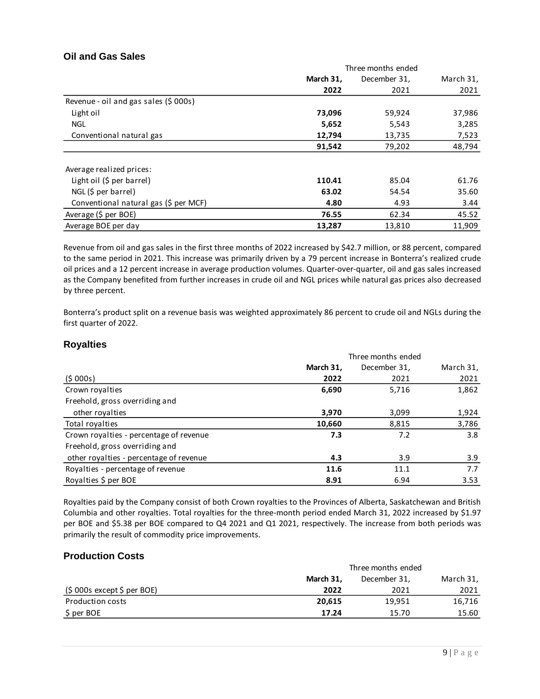## **Oil and Gas Sales**

|                                       | Three months ended |              |           |  |
|---------------------------------------|--------------------|--------------|-----------|--|
|                                       | March 31,          | December 31, | March 31, |  |
|                                       | 2022               | 2021         | 2021      |  |
| Revenue - oil and gas sales (\$ 000s) |                    |              |           |  |
| Light oil                             | 73,096             | 59,924       | 37,986    |  |
| <b>NGL</b>                            | 5,652              | 5,543        | 3,285     |  |
| Conventional natural gas              | 12,794             | 13,735       | 7,523     |  |
|                                       | 91,542             | 79,202       | 48,794    |  |
| Average realized prices:              |                    |              |           |  |
| Light oil (\$ per barrel)             | 110.41             | 85.04        | 61.76     |  |
| $NGL$ (\$ per barrel)                 | 63.02              | 54.54        | 35.60     |  |
| Conventional natural gas (\$ per MCF) | 4.80               | 4.93         | 3.44      |  |
| Average (\$ per BOE)                  | 76.55              | 62.34        | 45.52     |  |
| Average BOE per day                   | 13,287             | 13,810       | 11,909    |  |

Revenue from oil and gas sales in the first three months of 2022 increased by \$42.7 million, or 88 percent, compared to the same period in 2021. This increase was primarily driven by a 79 percent increase in Bonterra's realized crude oil prices and a 12 percent increase in average production volumes. Quarter-over-quarter, oil and gas sales increased as the Company benefited from further increases in crude oil and NGL prices while natural gas prices also decreased by three percent.

Bonterra's product split on a revenue basis was weighted approximately 86 percent to crude oil and NGLs during the first quarter of 2022.

### **Royalties**

|                                         | Three months ended |              |           |  |
|-----------------------------------------|--------------------|--------------|-----------|--|
|                                         | March 31,          | December 31, | March 31, |  |
| (5000s)                                 | 2022               | 2021         | 2021      |  |
| Crown royalties                         | 6,690              | 5,716        | 1,862     |  |
| Freehold, gross overriding and          |                    |              |           |  |
| other royalties                         | 3,970              | 3,099        | 1,924     |  |
| Total royalties                         | 10,660             | 8,815        | 3,786     |  |
| Crown royalties - percentage of revenue | 7.3                | 7.2          | 3.8       |  |
| Freehold, gross overriding and          |                    |              |           |  |
| other royalties - percentage of revenue | 4.3                | 3.9          | 3.9       |  |
| Royalties - percentage of revenue       | 11.6               | 11.1         | 7.7       |  |
| Royalties \$ per BOE                    | 8.91               | 6.94         | 3.53      |  |

Royalties paid by the Company consist of both Crown royalties to the Provinces of Alberta, Saskatchewan and British Columbia and other royalties. Total royalties for the three-month period ended March 31, 2022 increased by \$1.97 per BOE and \$5.38 per BOE compared to Q4 2021 and Q1 2021, respectively. The increase from both periods was primarily the result of commodity price improvements.

### **Production Costs**

|                             | Three months ended        |        |           |  |
|-----------------------------|---------------------------|--------|-----------|--|
|                             | March 31.<br>December 31, |        | March 31, |  |
| (\$ 000s except \$ per BOE) | 2022                      | 2021   | 2021      |  |
| <b>Production costs</b>     | 20.615                    | 19,951 | 16.716    |  |
| S per BOE                   | 17.24                     | 15.70  | 15.60     |  |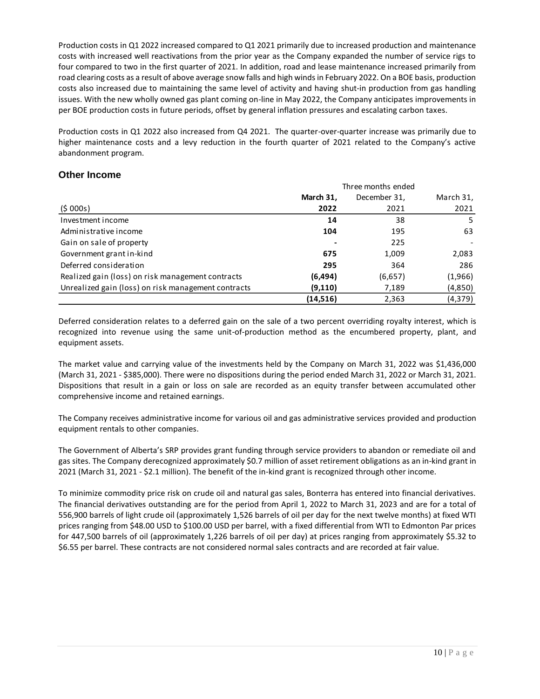Production costs in Q1 2022 increased compared to Q1 2021 primarily due to increased production and maintenance costs with increased well reactivations from the prior year as the Company expanded the number of service rigs to four compared to two in the first quarter of 2021. In addition, road and lease maintenance increased primarily from road clearing costs as a result of above average snow falls and high winds in February 2022. On a BOE basis, production costs also increased due to maintaining the same level of activity and having shut-in production from gas handling issues. With the new wholly owned gas plant coming on-line in May 2022, the Company anticipates improvements in per BOE production costs in future periods, offset by general inflation pressures and escalating carbon taxes.

Production costs in Q1 2022 also increased from Q4 2021. The quarter-over-quarter increase was primarily due to higher maintenance costs and a levy reduction in the fourth quarter of 2021 related to the Company's active abandonment program.

### **Other Income**

|                                                     | Three months ended |              |           |  |
|-----------------------------------------------------|--------------------|--------------|-----------|--|
|                                                     | March 31,          | December 31, | March 31, |  |
| (5000s)                                             | 2022               | 2021         | 2021      |  |
| Investment income                                   | 14                 | 38           | 5         |  |
| Administrative income                               | 104                | 195          | 63        |  |
| Gain on sale of property                            |                    | 225          |           |  |
| Government grant in-kind                            | 675                | 1,009        | 2,083     |  |
| Deferred consideration                              | 295                | 364          | 286       |  |
| Realized gain (loss) on risk management contracts   | (6,494)            | (6,657)      | (1,966)   |  |
| Unrealized gain (loss) on risk management contracts | (9, 110)           | 7,189        | (4,850)   |  |
|                                                     | (14,516)           | 2,363        | (4,379)   |  |

Deferred consideration relates to a deferred gain on the sale of a two percent overriding royalty interest, which is recognized into revenue using the same unit-of-production method as the encumbered property, plant, and equipment assets.

The market value and carrying value of the investments held by the Company on March 31, 2022 was \$1,436,000 (March 31, 2021 - \$385,000). There were no dispositions during the period ended March 31, 2022 or March 31, 2021. Dispositions that result in a gain or loss on sale are recorded as an equity transfer between accumulated other comprehensive income and retained earnings.

The Company receives administrative income for various oil and gas administrative services provided and production equipment rentals to other companies.

The Government of Alberta's SRP provides grant funding through service providers to abandon or remediate oil and gas sites. The Company derecognized approximately \$0.7 million of asset retirement obligations as an in-kind grant in 2021 (March 31, 2021 - \$2.1 million). The benefit of the in-kind grant is recognized through other income.

To minimize commodity price risk on crude oil and natural gas sales, Bonterra has entered into financial derivatives. The financial derivatives outstanding are for the period from April 1, 2022 to March 31, 2023 and are for a total of 556,900 barrels of light crude oil (approximately 1,526 barrels of oil per day for the next twelve months) at fixed WTI prices ranging from \$48.00 USD to \$100.00 USD per barrel, with a fixed differential from WTI to Edmonton Par prices for 447,500 barrels of oil (approximately 1,226 barrels of oil per day) at prices ranging from approximately \$5.32 to \$6.55 per barrel. These contracts are not considered normal sales contracts and are recorded at fair value.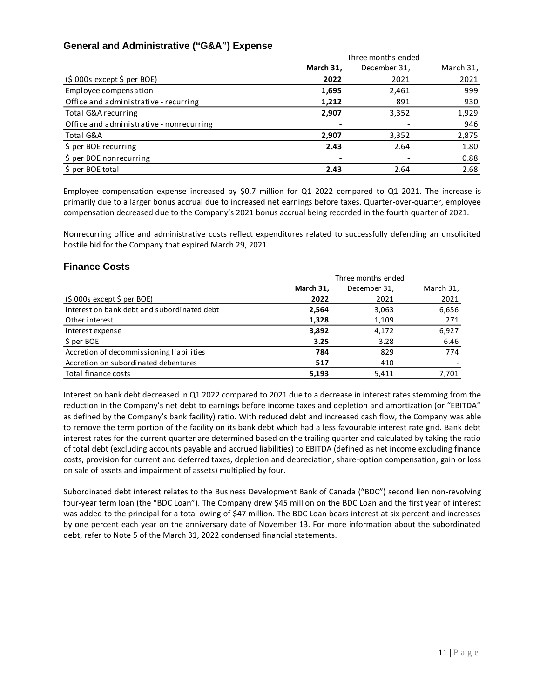## **General and Administrative ("G&A") Expense**

|                                          | Three months ended |              |           |
|------------------------------------------|--------------------|--------------|-----------|
|                                          | March 31,          | December 31, | March 31, |
| $(5000s$ except $5$ per BOE)             | 2022               | 2021         | 2021      |
| Employee compensation                    | 1,695              | 2,461        | 999       |
| Office and administrative - recurring    | 1,212              | 891          | 930       |
| Total G&A recurring                      | 2,907              | 3,352        | 1,929     |
| Office and administrative - nonrecurring |                    |              | 946       |
| Total G&A                                | 2,907              | 3,352        | 2,875     |
| \$ per BOE recurring                     | 2.43               | 2.64         | 1.80      |
| \$ per BOE nonrecurring                  |                    |              | 0.88      |
| \$ per BOE total                         | 2.43               | 2.64         | 2.68      |

Employee compensation expense increased by \$0.7 million for Q1 2022 compared to Q1 2021. The increase is primarily due to a larger bonus accrual due to increased net earnings before taxes. Quarter-over-quarter, employee compensation decreased due to the Company's 2021 bonus accrual being recorded in the fourth quarter of 2021.

Nonrecurring office and administrative costs reflect expenditures related to successfully defending an unsolicited hostile bid for the Company that expired March 29, 2021.

## **Finance Costs**

|                                             | Three months ended |              |           |
|---------------------------------------------|--------------------|--------------|-----------|
|                                             | March 31,          | December 31, | March 31, |
| $(5000s$ except $5$ per BOE)                | 2022               | 2021         | 2021      |
| Interest on bank debt and subordinated debt | 2,564              | 3,063        | 6,656     |
| Other interest                              | 1,328              | 1,109        | 271       |
| Interest expense                            | 3,892              | 4,172        | 6,927     |
| \$ per BOE                                  | 3.25               | 3.28         | 6.46      |
| Accretion of decommissioning liabilities    | 784                | 829          | 774       |
| Accretion on subordinated debentures        | 517                | 410          |           |
| Total finance costs                         | 5,193              | 5.411        | 7.701     |

Interest on bank debt decreased in Q1 2022 compared to 2021 due to a decrease in interest rates stemming from the reduction in the Company's net debt to earnings before income taxes and depletion and amortization (or "EBITDA" as defined by the Company's bank facility) ratio. With reduced debt and increased cash flow, the Company was able to remove the term portion of the facility on its bank debt which had a less favourable interest rate grid. Bank debt interest rates for the current quarter are determined based on the trailing quarter and calculated by taking the ratio of total debt (excluding accounts payable and accrued liabilities) to EBITDA (defined as net income excluding finance costs, provision for current and deferred taxes, depletion and depreciation, share-option compensation, gain or loss on sale of assets and impairment of assets) multiplied by four.

Subordinated debt interest relates to the Business Development Bank of Canada ("BDC") second lien non-revolving four-year term loan (the "BDC Loan"). The Company drew \$45 million on the BDC Loan and the first year of interest was added to the principal for a total owing of \$47 million. The BDC Loan bears interest at six percent and increases by one percent each year on the anniversary date of November 13. For more information about the subordinated debt, refer to Note 5 of the March 31, 2022 condensed financial statements.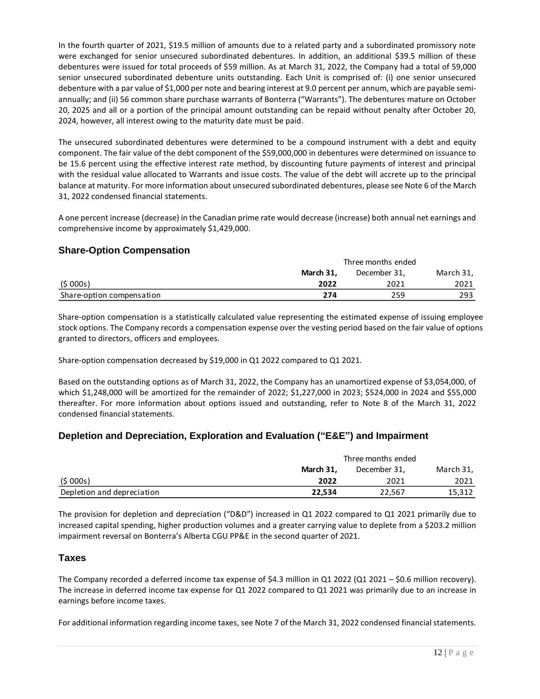In the fourth quarter of 2021, \$19.5 million of amounts due to a related party and a subordinated promissory note were exchanged for senior unsecured subordinated debentures. In addition, an additional \$39.5 million of these debentures were issued for total proceeds of \$59 million. As at March 31, 2022, the Company had a total of 59,000 senior unsecured subordinated debenture units outstanding. Each Unit is comprised of: (i) one senior unsecured debenture with a par value of \$1,000 per note and bearing interest at 9.0 percent per annum, which are payable semiannually; and (ii) 56 common share purchase warrants of Bonterra ("Warrants"). The debentures mature on October 20, 2025 and all or a portion of the principal amount outstanding can be repaid without penalty after October 20, 2024, however, all interest owing to the maturity date must be paid.

The unsecured subordinated debentures were determined to be a compound instrument with a debt and equity component. The fair value of the debt component of the \$59,000,000 in debentures were determined on issuance to be 15.6 percent using the effective interest rate method, by discounting future payments of interest and principal with the residual value allocated to Warrants and issue costs. The value of the debt will accrete up to the principal balance at maturity. For more information about unsecured subordinated debentures, please see Note 6 of the March 31, 2022 condensed financial statements.

A one percent increase (decrease) in the Canadian prime rate would decrease (increase) both annual net earnings and comprehensive income by approximately \$1,429,000.

## **Share-Option Compensation**

|                           | Three months ended                     |      |      |
|---------------------------|----------------------------------------|------|------|
|                           | March 31.<br>March 31,<br>December 31, |      |      |
| (5000s)                   | 2022                                   | 2021 | 2021 |
| Share-option compensation | 274                                    | 259  | 293  |

Share-option compensation is a statistically calculated value representing the estimated expense of issuing employee stock options. The Company records a compensation expense over the vesting period based on the fair value of options granted to directors, officers and employees.

Share-option compensation decreased by \$19,000 in Q1 2022 compared to Q1 2021.

Based on the outstanding options as of March 31, 2022, the Company has an unamortized expense of \$3,054,000, of which \$1,248,000 will be amortized for the remainder of 2022; \$1,227,000 in 2023; \$524,000 in 2024 and \$55,000 thereafter. For more information about options issued and outstanding, refer to Note 8 of the March 31, 2022 condensed financial statements.

## **Depletion and Depreciation, Exploration and Evaluation ("E&E") and Impairment**

|                            | Three months ended        |        |        |
|----------------------------|---------------------------|--------|--------|
|                            | March 31.<br>December 31. |        |        |
| (5000s)                    | 2022                      | 2021   | 2021   |
| Depletion and depreciation | 22.534                    | 22,567 | 15,312 |

The provision for depletion and depreciation ("D&D") increased in Q1 2022 compared to Q1 2021 primarily due to increased capital spending, higher production volumes and a greater carrying value to deplete from a \$203.2 million impairment reversal on Bonterra's Alberta CGU PP&E in the second quarter of 2021.

### **Taxes**

The Company recorded a deferred income tax expense of \$4.3 million in Q1 2022 (Q1 2021 – \$0.6 million recovery). The increase in deferred income tax expense for Q1 2022 compared to Q1 2021 was primarily due to an increase in earnings before income taxes.

For additional information regarding income taxes, see Note 7 of the March 31, 2022 condensed financial statements.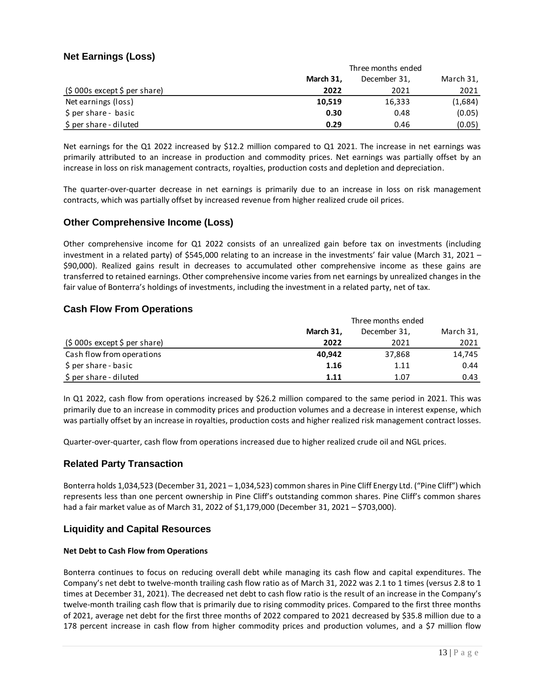## **Net Earnings (Loss)**

|                               | Three months ended |              |           |
|-------------------------------|--------------------|--------------|-----------|
|                               | March 31,          | December 31, | March 31, |
| $(5000s$ except \$ per share) | 2022               | 2021         | 2021      |
| Net earnings (loss)           | 10,519             | 16,333       | (1,684)   |
| \$ per share - basic          | 0.30               | 0.48         | (0.05)    |
| \$ per share - diluted        | 0.29               | 0.46         | (0.05)    |

Net earnings for the Q1 2022 increased by \$12.2 million compared to Q1 2021. The increase in net earnings was primarily attributed to an increase in production and commodity prices. Net earnings was partially offset by an increase in loss on risk management contracts, royalties, production costs and depletion and depreciation.

The quarter-over-quarter decrease in net earnings is primarily due to an increase in loss on risk management contracts, which was partially offset by increased revenue from higher realized crude oil prices.

## **Other Comprehensive Income (Loss)**

Other comprehensive income for Q1 2022 consists of an unrealized gain before tax on investments (including investment in a related party) of \$545,000 relating to an increase in the investments' fair value (March 31, 2021 – \$90,000). Realized gains result in decreases to accumulated other comprehensive income as these gains are transferred to retained earnings. Other comprehensive income varies from net earnings by unrealized changes in the fair value of Bonterra's holdings of investments, including the investment in a related party, net of tax.

## **Cash Flow From Operations**

|                               | Three months ended |              |           |
|-------------------------------|--------------------|--------------|-----------|
|                               | March 31,          | December 31, | March 31, |
| (\$ 000s except \$ per share) | 2022               | 2021         | 2021      |
| Cash flow from operations     | 40.942             | 37,868       | 14.745    |
| \$ per share - basic          | 1.16               | 1.11         | 0.44      |
| \$ per share - diluted        | 1.11               | 1.07         | 0.43      |

In Q1 2022, cash flow from operations increased by \$26.2 million compared to the same period in 2021. This was primarily due to an increase in commodity prices and production volumes and a decrease in interest expense, which was partially offset by an increase in royalties, production costs and higher realized risk management contract losses.

Quarter-over-quarter, cash flow from operations increased due to higher realized crude oil and NGL prices.

### **Related Party Transaction**

Bonterra holds 1,034,523 (December 31, 2021 – 1,034,523) common shares in Pine Cliff Energy Ltd. ("Pine Cliff") which represents less than one percent ownership in Pine Cliff's outstanding common shares. Pine Cliff's common shares had a fair market value as of March 31, 2022 of \$1,179,000 (December 31, 2021 – \$703,000).

### **Liquidity and Capital Resources**

### **Net Debt to Cash Flow from Operations**

Bonterra continues to focus on reducing overall debt while managing its cash flow and capital expenditures. The Company's net debt to twelve-month trailing cash flow ratio as of March 31, 2022 was 2.1 to 1 times (versus 2.8 to 1 times at December 31, 2021). The decreased net debt to cash flow ratio is the result of an increase in the Company's twelve-month trailing cash flow that is primarily due to rising commodity prices. Compared to the first three months of 2021, average net debt for the first three months of 2022 compared to 2021 decreased by \$35.8 million due to a 178 percent increase in cash flow from higher commodity prices and production volumes, and a \$7 million flow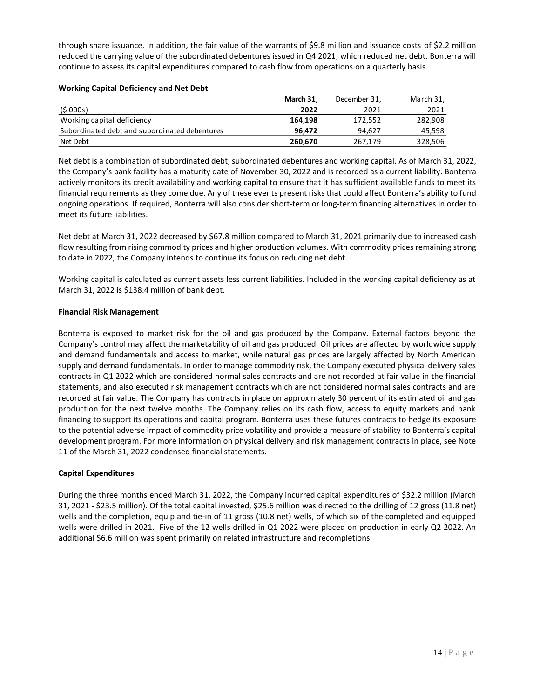through share issuance. In addition, the fair value of the warrants of \$9.8 million and issuance costs of \$2.2 million reduced the carrying value of the subordinated debentures issued in Q4 2021, which reduced net debt. Bonterra will continue to assess its capital expenditures compared to cash flow from operations on a quarterly basis.

#### **Working Capital Deficiency and Net Debt**

|                                               | March 31. | December 31, | March 31, |
|-----------------------------------------------|-----------|--------------|-----------|
| (5000s)                                       | 2022      | 2021         | 2021      |
| Working capital deficiency                    | 164.198   | 172.552      | 282.908   |
| Subordinated debt and subordinated debentures | 96.472    | 94.627       | 45.598    |
| Net Debt                                      | 260,670   | 267,179      | 328,506   |

Net debt is a combination of subordinated debt, subordinated debentures and working capital. As of March 31, 2022, the Company's bank facility has a maturity date of November 30, 2022 and is recorded as a current liability. Bonterra actively monitors its credit availability and working capital to ensure that it has sufficient available funds to meet its financial requirements as they come due. Any of these events present risks that could affect Bonterra's ability to fund ongoing operations. If required, Bonterra will also consider short-term or long-term financing alternatives in order to meet its future liabilities.

Net debt at March 31, 2022 decreased by \$67.8 million compared to March 31, 2021 primarily due to increased cash flow resulting from rising commodity prices and higher production volumes. With commodity prices remaining strong to date in 2022, the Company intends to continue its focus on reducing net debt.

Working capital is calculated as current assets less current liabilities. Included in the working capital deficiency as at March 31, 2022 is \$138.4 million of bank debt.

#### **Financial Risk Management**

Bonterra is exposed to market risk for the oil and gas produced by the Company. External factors beyond the Company's control may affect the marketability of oil and gas produced. Oil prices are affected by worldwide supply and demand fundamentals and access to market, while natural gas prices are largely affected by North American supply and demand fundamentals. In order to manage commodity risk, the Company executed physical delivery sales contracts in Q1 2022 which are considered normal sales contracts and are not recorded at fair value in the financial statements, and also executed risk management contracts which are not considered normal sales contracts and are recorded at fair value. The Company has contracts in place on approximately 30 percent of its estimated oil and gas production for the next twelve months. The Company relies on its cash flow, access to equity markets and bank financing to support its operations and capital program. Bonterra uses these futures contracts to hedge its exposure to the potential adverse impact of commodity price volatility and provide a measure of stability to Bonterra's capital development program. For more information on physical delivery and risk management contracts in place, see Note 11 of the March 31, 2022 condensed financial statements.

### **Capital Expenditures**

During the three months ended March 31, 2022, the Company incurred capital expenditures of \$32.2 million (March 31, 2021 - \$23.5 million). Of the total capital invested, \$25.6 million was directed to the drilling of 12 gross (11.8 net) wells and the completion, equip and tie-in of 11 gross (10.8 net) wells, of which six of the completed and equipped wells were drilled in 2021. Five of the 12 wells drilled in Q1 2022 were placed on production in early Q2 2022. An additional \$6.6 million was spent primarily on related infrastructure and recompletions.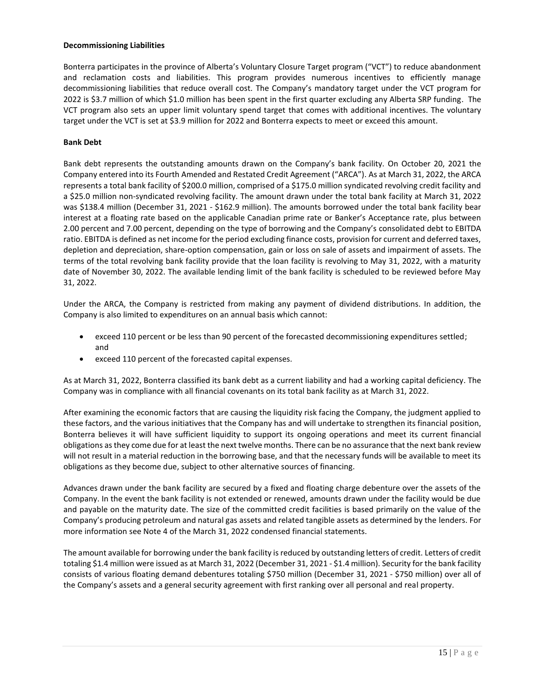#### **Decommissioning Liabilities**

Bonterra participates in the province of Alberta's Voluntary Closure Target program ("VCT") to reduce abandonment and reclamation costs and liabilities. This program provides numerous incentives to efficiently manage decommissioning liabilities that reduce overall cost. The Company's mandatory target under the VCT program for 2022 is \$3.7 million of which \$1.0 million has been spent in the first quarter excluding any Alberta SRP funding. The VCT program also sets an upper limit voluntary spend target that comes with additional incentives. The voluntary target under the VCT is set at \$3.9 million for 2022 and Bonterra expects to meet or exceed this amount.

### **Bank Debt**

Bank debt represents the outstanding amounts drawn on the Company's bank facility. On October 20, 2021 the Company entered into its Fourth Amended and Restated Credit Agreement ("ARCA"). As at March 31, 2022, the ARCA represents a total bank facility of \$200.0 million, comprised of a \$175.0 million syndicated revolving credit facility and a \$25.0 million non-syndicated revolving facility. The amount drawn under the total bank facility at March 31, 2022 was \$138.4 million (December 31, 2021 - \$162.9 million). The amounts borrowed under the total bank facility bear interest at a floating rate based on the applicable Canadian prime rate or Banker's Acceptance rate, plus between 2.00 percent and 7.00 percent, depending on the type of borrowing and the Company's consolidated debt to EBITDA ratio. EBITDA is defined as net income for the period excluding finance costs, provision for current and deferred taxes, depletion and depreciation, share-option compensation, gain or loss on sale of assets and impairment of assets. The terms of the total revolving bank facility provide that the loan facility is revolving to May 31, 2022, with a maturity date of November 30, 2022. The available lending limit of the bank facility is scheduled to be reviewed before May 31, 2022.

Under the ARCA, the Company is restricted from making any payment of dividend distributions. In addition, the Company is also limited to expenditures on an annual basis which cannot:

- exceed 110 percent or be less than 90 percent of the forecasted decommissioning expenditures settled; and
- exceed 110 percent of the forecasted capital expenses.

As at March 31, 2022, Bonterra classified its bank debt as a current liability and had a working capital deficiency. The Company was in compliance with all financial covenants on its total bank facility as at March 31, 2022.

After examining the economic factors that are causing the liquidity risk facing the Company, the judgment applied to these factors, and the various initiatives that the Company has and will undertake to strengthen its financial position, Bonterra believes it will have sufficient liquidity to support its ongoing operations and meet its current financial obligations as they come due for at least the next twelve months. There can be no assurance that the next bank review will not result in a material reduction in the borrowing base, and that the necessary funds will be available to meet its obligations as they become due, subject to other alternative sources of financing.

Advances drawn under the bank facility are secured by a fixed and floating charge debenture over the assets of the Company. In the event the bank facility is not extended or renewed, amounts drawn under the facility would be due and payable on the maturity date. The size of the committed credit facilities is based primarily on the value of the Company's producing petroleum and natural gas assets and related tangible assets as determined by the lenders. For more information see Note 4 of the March 31, 2022 condensed financial statements.

The amount available for borrowing under the bank facility is reduced by outstanding letters of credit. Letters of credit totaling \$1.4 million were issued as at March 31, 2022 (December 31, 2021 - \$1.4 million). Security for the bank facility consists of various floating demand debentures totaling \$750 million (December 31, 2021 - \$750 million) over all of the Company's assets and a general security agreement with first ranking over all personal and real property.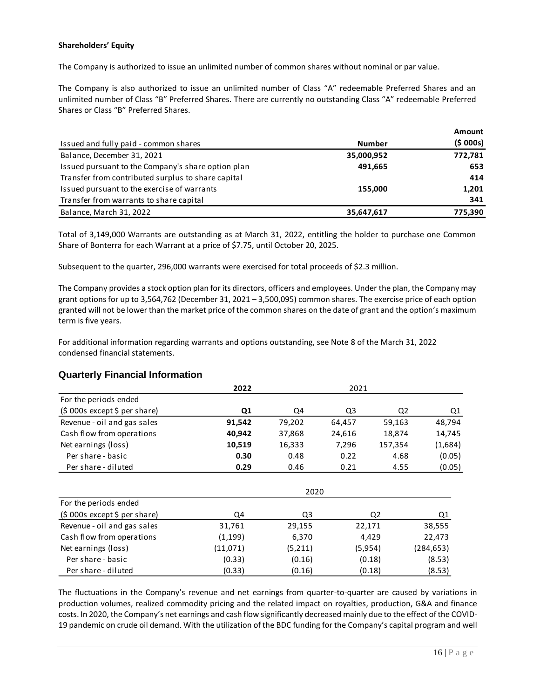### **Shareholders' Equity**

The Company is authorized to issue an unlimited number of common shares without nominal or par value.

The Company is also authorized to issue an unlimited number of Class "A" redeemable Preferred Shares and an unlimited number of Class "B" Preferred Shares. There are currently no outstanding Class "A" redeemable Preferred Shares or Class "B" Preferred Shares.

|                                                    |               | Amount  |
|----------------------------------------------------|---------------|---------|
| Issued and fully paid - common shares              | <b>Number</b> | (5000s) |
| Balance, December 31, 2021                         | 35,000,952    | 772,781 |
| Issued pursuant to the Company's share option plan | 491.665       | 653     |
| Transfer from contributed surplus to share capital |               | 414     |
| Issued pursuant to the exercise of warrants        | 155.000       | 1,201   |
| Transfer from warrants to share capital            |               | 341     |
| Balance, March 31, 2022                            | 35,647,617    | 775,390 |

Total of 3,149,000 Warrants are outstanding as at March 31, 2022, entitling the holder to purchase one Common Share of Bonterra for each Warrant at a price of \$7.75, until October 20, 2025.

Subsequent to the quarter, 296,000 warrants were exercised for total proceeds of \$2.3 million.

The Company provides a stock option plan for its directors, officers and employees. Under the plan, the Company may grant options for up to 3,564,762 (December 31, 2021 – 3,500,095) common shares. The exercise price of each option granted will not be lower than the market price of the common shares on the date of grant and the option's maximum term is five years.

For additional information regarding warrants and options outstanding, see Note 8 of the March 31, 2022 condensed financial statements.

### **Quarterly Financial Information**

|                               | 2022     |         | 2021   |                |            |
|-------------------------------|----------|---------|--------|----------------|------------|
| For the periods ended         |          |         |        |                |            |
| $(5000s$ except \$ per share) | Q1       | Q4      | Q3     | Q <sub>2</sub> | Q1         |
| Revenue - oil and gas sales   | 91,542   | 79,202  | 64,457 | 59,163         | 48,794     |
| Cash flow from operations     | 40,942   | 37,868  | 24,616 | 18,874         | 14,745     |
| Net earnings (loss)           | 10,519   | 16,333  | 7,296  | 157,354        | (1,684)    |
| Per share - basic             | 0.30     | 0.48    | 0.22   | 4.68           | (0.05)     |
| Per share - diluted           | 0.29     | 0.46    | 0.21   | 4.55           | (0.05)     |
|                               |          |         |        |                |            |
|                               |          | 2020    |        |                |            |
| For the periods ended         |          |         |        |                |            |
| $(5000s$ except \$ per share) | Q4       | Q3      |        | Q <sub>2</sub> | Q1         |
| Revenue - oil and gas sales   | 31,761   | 29,155  |        | 22,171         | 38,555     |
| Cash flow from operations     | (1, 199) | 6,370   |        | 4,429          | 22,473     |
| Net earnings (loss)           | (11,071) | (5,211) |        | (5,954)        | (284, 653) |
| Per share - basic             | (0.33)   | (0.16)  |        | (0.18)         | (8.53)     |
| Per share - diluted           | (0.33)   | (0.16)  |        | (0.18)         | (8.53)     |

The fluctuations in the Company's revenue and net earnings from quarter-to-quarter are caused by variations in production volumes, realized commodity pricing and the related impact on royalties, production, G&A and finance costs. In 2020, the Company's net earnings and cash flow significantly decreased mainly due to the effect of the COVID-19 pandemic on crude oil demand. With the utilization of the BDC funding for the Company's capital program and well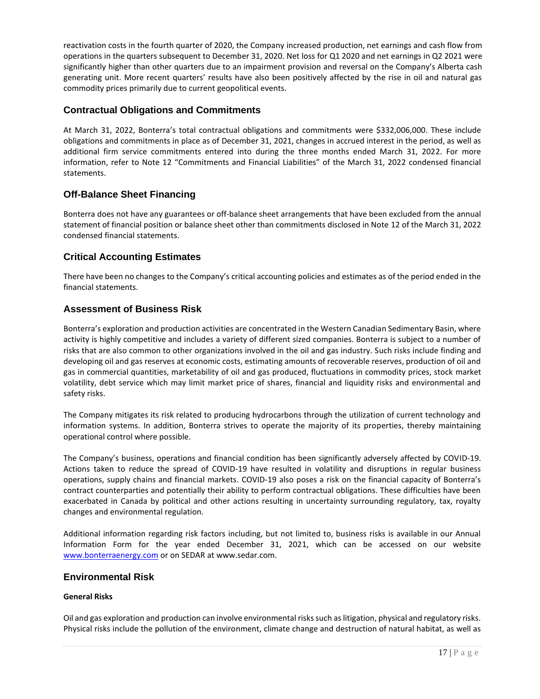reactivation costs in the fourth quarter of 2020, the Company increased production, net earnings and cash flow from operations in the quarters subsequent to December 31, 2020. Net loss for Q1 2020 and net earnings in Q2 2021 were significantly higher than other quarters due to an impairment provision and reversal on the Company's Alberta cash generating unit. More recent quarters' results have also been positively affected by the rise in oil and natural gas commodity prices primarily due to current geopolitical events.

## **Contractual Obligations and Commitments**

At March 31, 2022, Bonterra's total contractual obligations and commitments were \$332,006,000. These include obligations and commitments in place as of December 31, 2021, changes in accrued interest in the period, as well as additional firm service commitments entered into during the three months ended March 31, 2022. For more information, refer to Note 12 "Commitments and Financial Liabilities" of the March 31, 2022 condensed financial statements.

## **Off-Balance Sheet Financing**

Bonterra does not have any guarantees or off-balance sheet arrangements that have been excluded from the annual statement of financial position or balance sheet other than commitments disclosed in Note 12 of the March 31, 2022 condensed financial statements.

## **Critical Accounting Estimates**

There have been no changes to the Company's critical accounting policies and estimates as of the period ended in the financial statements.

### **Assessment of Business Risk**

Bonterra's exploration and production activities are concentrated in the Western Canadian Sedimentary Basin, where activity is highly competitive and includes a variety of different sized companies. Bonterra is subject to a number of risks that are also common to other organizations involved in the oil and gas industry. Such risks include finding and developing oil and gas reserves at economic costs, estimating amounts of recoverable reserves, production of oil and gas in commercial quantities, marketability of oil and gas produced, fluctuations in commodity prices, stock market volatility, debt service which may limit market price of shares, financial and liquidity risks and environmental and safety risks.

The Company mitigates its risk related to producing hydrocarbons through the utilization of current technology and information systems. In addition, Bonterra strives to operate the majority of its properties, thereby maintaining operational control where possible.

The Company's business, operations and financial condition has been significantly adversely affected by COVID-19. Actions taken to reduce the spread of COVID-19 have resulted in volatility and disruptions in regular business operations, supply chains and financial markets. COVID-19 also poses a risk on the financial capacity of Bonterra's contract counterparties and potentially their ability to perform contractual obligations. These difficulties have been exacerbated in Canada by political and other actions resulting in uncertainty surrounding regulatory, tax, royalty changes and environmental regulation.

Additional information regarding risk factors including, but not limited to, business risks is available in our Annual Information Form for the year ended December 31, 2021, which can be accessed on our website [www.bonterraenergy.com](http://www.bonterraenergy.com/) or on SEDAR at www.sedar.com.

### **Environmental Risk**

### **General Risks**

Oil and gas exploration and production can involve environmental risks such as litigation, physical and regulatory risks. Physical risks include the pollution of the environment, climate change and destruction of natural habitat, as well as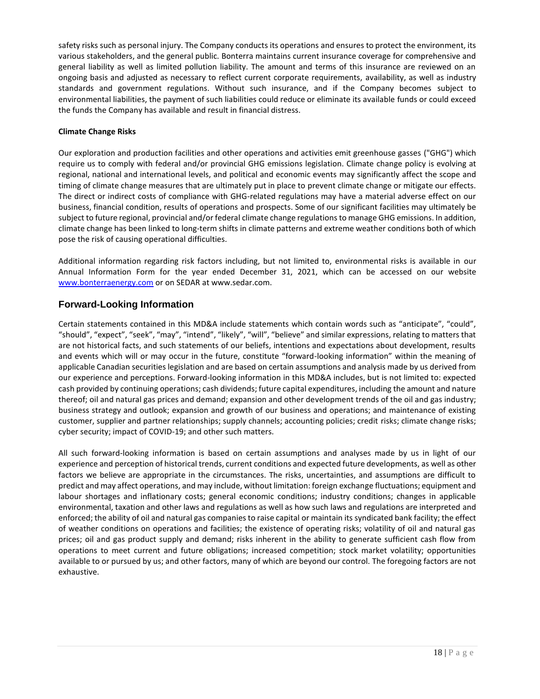safety risks such as personal injury. The Company conducts its operations and ensures to protect the environment, its various stakeholders, and the general public. Bonterra maintains current insurance coverage for comprehensive and general liability as well as limited pollution liability. The amount and terms of this insurance are reviewed on an ongoing basis and adjusted as necessary to reflect current corporate requirements, availability, as well as industry standards and government regulations. Without such insurance, and if the Company becomes subject to environmental liabilities, the payment of such liabilities could reduce or eliminate its available funds or could exceed the funds the Company has available and result in financial distress.

### **Climate Change Risks**

Our exploration and production facilities and other operations and activities emit greenhouse gasses ("GHG") which require us to comply with federal and/or provincial GHG emissions legislation. Climate change policy is evolving at regional, national and international levels, and political and economic events may significantly affect the scope and timing of climate change measures that are ultimately put in place to prevent climate change or mitigate our effects. The direct or indirect costs of compliance with GHG-related regulations may have a material adverse effect on our business, financial condition, results of operations and prospects. Some of our significant facilities may ultimately be subject to future regional, provincial and/or federal climate change regulations to manage GHG emissions. In addition, climate change has been linked to long-term shifts in climate patterns and extreme weather conditions both of which pose the risk of causing operational difficulties.

Additional information regarding risk factors including, but not limited to, environmental risks is available in our Annual Information Form for the year ended December 31, 2021, which can be accessed on our website [www.bonterraenergy.com](http://www.bonterraenergy.com/) or on SEDAR at www.sedar.com.

## **Forward-Looking Information**

Certain statements contained in this MD&A include statements which contain words such as "anticipate", "could", "should", "expect", "seek", "may", "intend", "likely", "will", "believe" and similar expressions, relating to matters that are not historical facts, and such statements of our beliefs, intentions and expectations about development, results and events which will or may occur in the future, constitute "forward-looking information" within the meaning of applicable Canadian securities legislation and are based on certain assumptions and analysis made by us derived from our experience and perceptions. Forward-looking information in this MD&A includes, but is not limited to: expected cash provided by continuing operations; cash dividends; future capital expenditures, including the amount and nature thereof; oil and natural gas prices and demand; expansion and other development trends of the oil and gas industry; business strategy and outlook; expansion and growth of our business and operations; and maintenance of existing customer, supplier and partner relationships; supply channels; accounting policies; credit risks; climate change risks; cyber security; impact of COVID-19; and other such matters.

All such forward-looking information is based on certain assumptions and analyses made by us in light of our experience and perception of historical trends, current conditions and expected future developments, as well as other factors we believe are appropriate in the circumstances. The risks, uncertainties, and assumptions are difficult to predict and may affect operations, and may include, without limitation: foreign exchange fluctuations; equipment and labour shortages and inflationary costs; general economic conditions; industry conditions; changes in applicable environmental, taxation and other laws and regulations as well as how such laws and regulations are interpreted and enforced; the ability of oil and natural gas companies to raise capital or maintain its syndicated bank facility; the effect of weather conditions on operations and facilities; the existence of operating risks; volatility of oil and natural gas prices; oil and gas product supply and demand; risks inherent in the ability to generate sufficient cash flow from operations to meet current and future obligations; increased competition; stock market volatility; opportunities available to or pursued by us; and other factors, many of which are beyond our control. The foregoing factors are not exhaustive.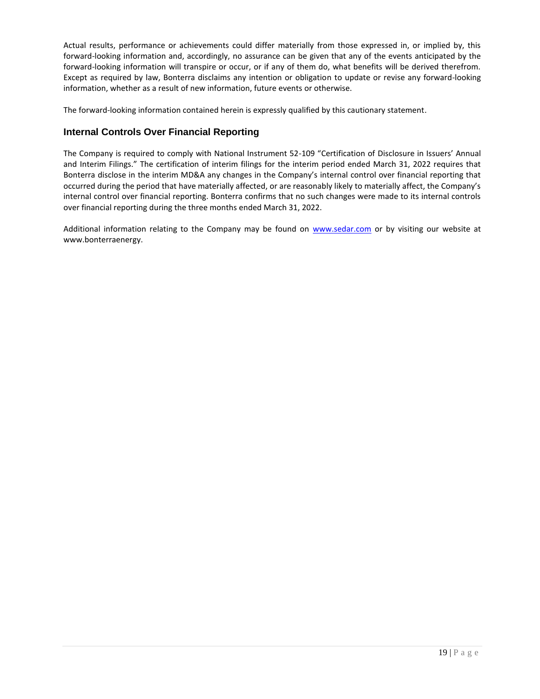Actual results, performance or achievements could differ materially from those expressed in, or implied by, this forward-looking information and, accordingly, no assurance can be given that any of the events anticipated by the forward-looking information will transpire or occur, or if any of them do, what benefits will be derived therefrom. Except as required by law, Bonterra disclaims any intention or obligation to update or revise any forward-looking information, whether as a result of new information, future events or otherwise.

The forward-looking information contained herein is expressly qualified by this cautionary statement.

## **Internal Controls Over Financial Reporting**

The Company is required to comply with National Instrument 52-109 "Certification of Disclosure in Issuers' Annual and Interim Filings." The certification of interim filings for the interim period ended March 31, 2022 requires that Bonterra disclose in the interim MD&A any changes in the Company's internal control over financial reporting that occurred during the period that have materially affected, or are reasonably likely to materially affect, the Company's internal control over financial reporting. Bonterra confirms that no such changes were made to its internal controls over financial reporting during the three months ended March 31, 2022.

Additional information relating to the Company may be found on [www.sedar.com](http://www.sedar.com/) or by visiting our website at www.bonterraenergy.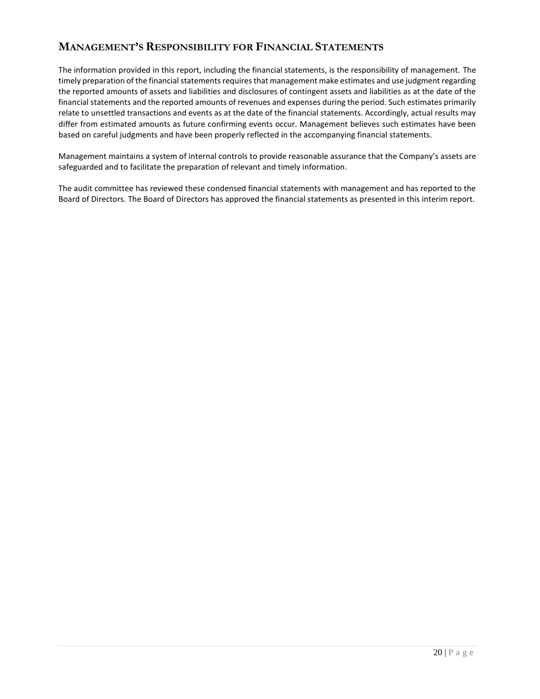# **MANAGEMENT'S RESPONSIBILITY FOR FINANCIAL STATEMENTS**

The information provided in this report, including the financial statements, is the responsibility of management. The timely preparation of the financial statements requires that management make estimates and use judgment regarding the reported amounts of assets and liabilities and disclosures of contingent assets and liabilities as at the date of the financial statements and the reported amounts of revenues and expenses during the period. Such estimates primarily relate to unsettled transactions and events as at the date of the financial statements. Accordingly, actual results may differ from estimated amounts as future confirming events occur. Management believes such estimates have been based on careful judgments and have been properly reflected in the accompanying financial statements.

Management maintains a system of internal controls to provide reasonable assurance that the Company's assets are safeguarded and to facilitate the preparation of relevant and timely information.

The audit committee has reviewed these condensed financial statements with management and has reported to the Board of Directors. The Board of Directors has approved the financial statements as presented in this interim report.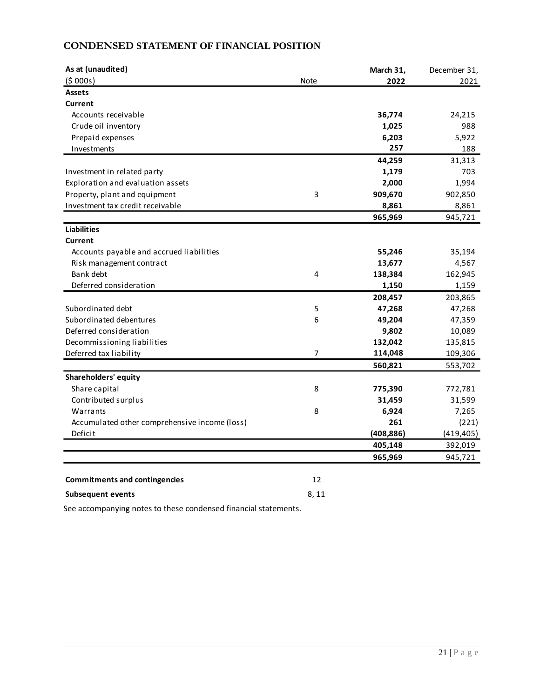# **CONDENSED STATEMENT OF FINANCIAL POSITION**

| As at (unaudited)                             |                | March 31,  | December 31, |
|-----------------------------------------------|----------------|------------|--------------|
| (5000s)                                       | <b>Note</b>    | 2022       | 2021         |
| <b>Assets</b>                                 |                |            |              |
| <b>Current</b>                                |                |            |              |
| Accounts receivable                           |                | 36,774     | 24,215       |
| Crude oil inventory                           |                | 1,025      | 988          |
| Prepaid expenses                              |                | 6,203      | 5,922        |
| Investments                                   |                | 257        | 188          |
|                                               |                | 44,259     | 31,313       |
| Investment in related party                   |                | 1,179      | 703          |
| Exploration and evaluation assets             |                | 2,000      | 1,994        |
| Property, plant and equipment                 | 3              | 909,670    | 902,850      |
| Investment tax credit receivable              |                | 8,861      | 8,861        |
|                                               |                | 965,969    | 945,721      |
| <b>Liabilities</b>                            |                |            |              |
| Current                                       |                |            |              |
| Accounts payable and accrued liabilities      |                | 55,246     | 35,194       |
| Risk management contract                      |                | 13,677     | 4,567        |
| Bank debt                                     | 4              | 138,384    | 162,945      |
| Deferred consideration                        |                | 1,150      | 1,159        |
|                                               |                | 208,457    | 203,865      |
| Subordinated debt                             | 5              | 47,268     | 47,268       |
| Subordinated debentures                       | 6              | 49,204     | 47,359       |
| Deferred consideration                        |                | 9,802      | 10,089       |
| Decommissioning liabilities                   |                | 132,042    | 135,815      |
| Deferred tax liability                        | $\overline{7}$ | 114,048    | 109,306      |
|                                               |                | 560,821    | 553,702      |
| Shareholders' equity                          |                |            |              |
| Share capital                                 | 8              | 775,390    | 772,781      |
| Contributed surplus                           |                | 31,459     | 31,599       |
| Warrants                                      | 8              | 6,924      | 7,265        |
| Accumulated other comprehensive income (loss) |                | 261        | (221)        |
| Deficit                                       |                | (408, 886) | (419, 405)   |
|                                               |                | 405,148    | 392,019      |
|                                               |                | 965,969    | 945,721      |
|                                               |                |            |              |
| <b>Commitments and contingencies</b>          | 12             |            |              |
| <b>Subsequent events</b>                      | 8,11           |            |              |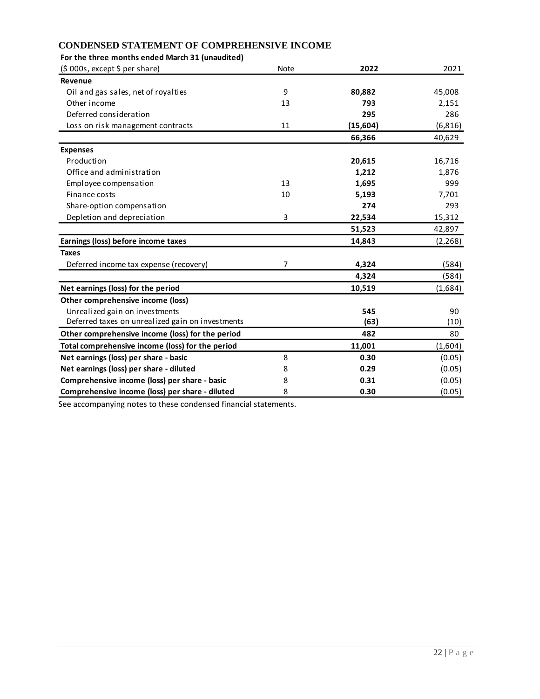### **CONDENSED STATEMENT OF COMPREHENSIVE INCOME**

| For the three months ended March 31 (unaudited)  |                |          |          |
|--------------------------------------------------|----------------|----------|----------|
| (5000s, except 5 per share)                      | <b>Note</b>    | 2022     | 2021     |
| Revenue                                          |                |          |          |
| Oil and gas sales, net of royalties              | 9              | 80,882   | 45,008   |
| Other income                                     | 13             | 793      | 2,151    |
| Deferred consideration                           |                | 295      | 286      |
| Loss on risk management contracts                | 11             | (15,604) | (6, 816) |
|                                                  |                | 66,366   | 40,629   |
| <b>Expenses</b>                                  |                |          |          |
| Production                                       |                | 20,615   | 16,716   |
| Office and administration                        |                | 1,212    | 1,876    |
| Employee compensation                            | 13             | 1,695    | 999      |
| Finance costs                                    | 10             | 5,193    | 7,701    |
| Share-option compensation                        |                | 274      | 293      |
| Depletion and depreciation                       | 3              | 22,534   | 15,312   |
|                                                  |                | 51,523   | 42,897   |
| Earnings (loss) before income taxes              |                | 14,843   | (2, 268) |
| <b>Taxes</b>                                     |                |          |          |
| Deferred income tax expense (recovery)           | $\overline{7}$ | 4,324    | (584)    |
|                                                  |                | 4,324    | (584)    |
| Net earnings (loss) for the period               |                | 10,519   | (1,684)  |
| Other comprehensive income (loss)                |                |          |          |
| Unrealized gain on investments                   |                | 545      | 90       |
| Deferred taxes on unrealized gain on investments |                | (63)     | (10)     |
| Other comprehensive income (loss) for the period |                | 482      | 80       |
| Total comprehensive income (loss) for the period |                | 11,001   | (1,604)  |
| Net earnings (loss) per share - basic            | 8              | 0.30     | (0.05)   |
| Net earnings (loss) per share - diluted          | 8              | 0.29     | (0.05)   |
| Comprehensive income (loss) per share - basic    | 8              | 0.31     | (0.05)   |
| Comprehensive income (loss) per share - diluted  | 8              | 0.30     | (0.05)   |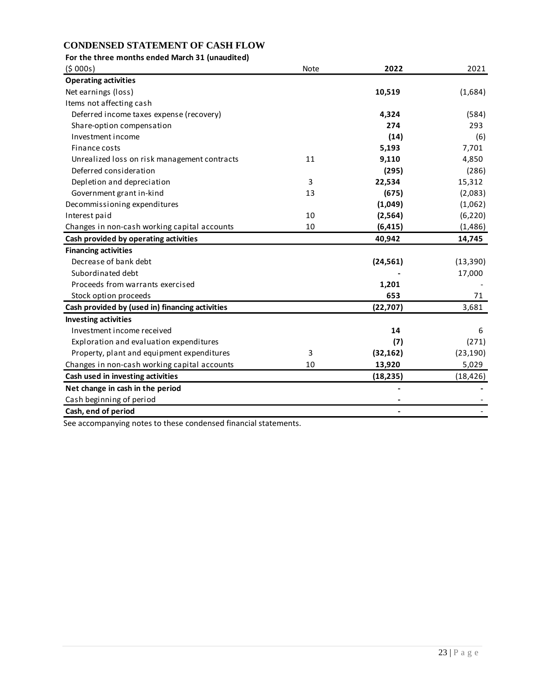## **CONDENSED STATEMENT OF CASH FLOW**

| For the three months ended March 31 (unaudited) |      |           |           |
|-------------------------------------------------|------|-----------|-----------|
| (5000s)                                         | Note | 2022      | 2021      |
| <b>Operating activities</b>                     |      |           |           |
| Net earnings (loss)                             |      | 10,519    | (1,684)   |
| Items not affecting cash                        |      |           |           |
| Deferred income taxes expense (recovery)        |      | 4,324     | (584)     |
| Share-option compensation                       |      | 274       | 293       |
| Investment income                               |      | (14)      | (6)       |
| Finance costs                                   |      | 5,193     | 7,701     |
| Unrealized loss on risk management contracts    | 11   | 9,110     | 4,850     |
| Deferred consideration                          |      | (295)     | (286)     |
| Depletion and depreciation                      | 3    | 22,534    | 15,312    |
| Government grant in-kind                        | 13   | (675)     | (2,083)   |
| Decommissioning expenditures                    |      | (1,049)   | (1,062)   |
| Interest paid                                   | 10   | (2, 564)  | (6, 220)  |
| Changes in non-cash working capital accounts    | 10   | (6, 415)  | (1, 486)  |
| Cash provided by operating activities           |      | 40,942    | 14,745    |
| <b>Financing activities</b>                     |      |           |           |
| Decrease of bank debt                           |      | (24, 561) | (13, 390) |
| Subordinated debt                               |      |           | 17,000    |
| Proceeds from warrants exercised                |      | 1,201     |           |
| Stock option proceeds                           |      | 653       | 71        |
| Cash provided by (used in) financing activities |      | (22, 707) | 3,681     |
| <b>Investing activities</b>                     |      |           |           |
| Investment income received                      |      | 14        | 6         |
| Exploration and evaluation expenditures         |      | (7)       | (271)     |
| Property, plant and equipment expenditures      | 3    | (32, 162) | (23, 190) |
| Changes in non-cash working capital accounts    | 10   | 13,920    | 5,029     |
| Cash used in investing activities               |      | (18, 235) | (18, 426) |
| Net change in cash in the period                |      |           |           |
| Cash beginning of period                        |      |           |           |
| Cash, end of period                             |      |           |           |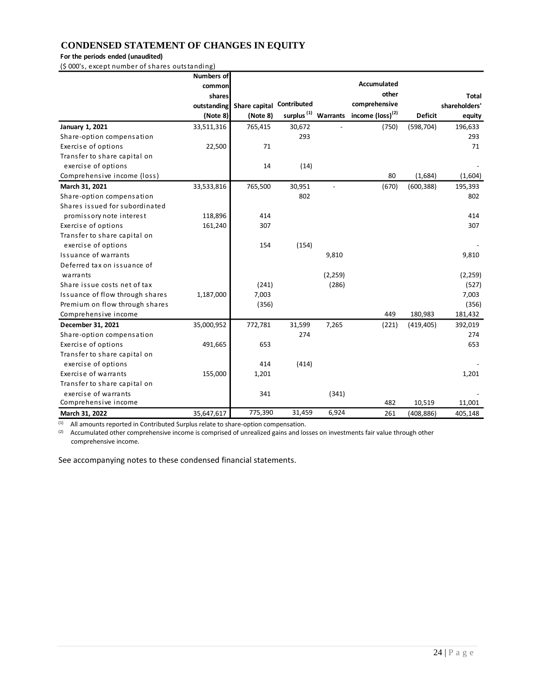## **CONDENSED STATEMENT OF CHANGES IN EQUITY**

### **For the periods ended (unaudited)**

(\$ 000's, except number of shares outstanding)

|                                 | <b>Numbers of</b> |               |             |                          |                                                              |                |               |
|---------------------------------|-------------------|---------------|-------------|--------------------------|--------------------------------------------------------------|----------------|---------------|
|                                 | common            |               |             |                          | <b>Accumulated</b>                                           |                |               |
|                                 | shares            |               |             |                          | other                                                        |                | <b>Total</b>  |
|                                 | outstanding       | Share capital | Contributed |                          | comprehensive                                                |                | shareholders' |
|                                 | (Note 8)          | (Note 8)      |             |                          | surplus <sup>(1)</sup> Warrants income (loss) <sup>(2)</sup> | <b>Deficit</b> | equity        |
| January 1, 2021                 | 33,511,316        | 765,415       | 30,672      |                          | (750)                                                        | (598, 704)     | 196,633       |
| Share-option compensation       |                   |               | 293         |                          |                                                              |                | 293           |
| Exercise of options             | 22,500            | 71            |             |                          |                                                              |                | 71            |
| Transfer to share capital on    |                   |               |             |                          |                                                              |                |               |
| exercise of options             |                   | 14            | (14)        |                          |                                                              |                |               |
| Comprehensive income (loss)     |                   |               |             |                          | 80                                                           | (1,684)        | (1,604)       |
| March 31, 2021                  | 33,533,816        | 765,500       | 30,951      | $\overline{\phantom{a}}$ | (670)                                                        | (600, 388)     | 195,393       |
| Share-option compensation       |                   |               | 802         |                          |                                                              |                | 802           |
| Shares issued for subordinated  |                   |               |             |                          |                                                              |                |               |
| promissory note interest        | 118,896           | 414           |             |                          |                                                              |                | 414           |
| Exercise of options             | 161,240           | 307           |             |                          |                                                              |                | 307           |
| Transfer to share capital on    |                   |               |             |                          |                                                              |                |               |
| exercise of options             |                   | 154           | (154)       |                          |                                                              |                |               |
| Issuance of warrants            |                   |               |             | 9,810                    |                                                              |                | 9,810         |
| Deferred tax on issuance of     |                   |               |             |                          |                                                              |                |               |
| warrants                        |                   |               |             | (2, 259)                 |                                                              |                | (2, 259)      |
| Share issue costs net of tax    |                   | (241)         |             | (286)                    |                                                              |                | (527)         |
| Issuance of flow through shares | 1,187,000         | 7,003         |             |                          |                                                              |                | 7,003         |
| Premium on flow through shares  |                   | (356)         |             |                          |                                                              |                | (356)         |
| Comprehensive income            |                   |               |             |                          | 449                                                          | 180,983        | 181,432       |
| December 31, 2021               | 35,000,952        | 772,781       | 31,599      | 7,265                    | (221)                                                        | (419, 405)     | 392,019       |
| Share-option compensation       |                   |               | 274         |                          |                                                              |                | 274           |
| Exercise of options             | 491,665           | 653           |             |                          |                                                              |                | 653           |
| Transfer to share capital on    |                   |               |             |                          |                                                              |                |               |
| exercise of options             |                   | 414           | (414)       |                          |                                                              |                |               |
| Exercise of warrants            | 155,000           | 1,201         |             |                          |                                                              |                | 1,201         |
| Transfer to share capital on    |                   |               |             |                          |                                                              |                |               |
| exercise of warrants            |                   | 341           |             | (341)                    |                                                              |                |               |
| Comprehensive income            |                   |               |             |                          | 482                                                          | 10,519         | 11,001        |
| March 31, 2022                  | 35,647,617        | 775,390       | 31,459      | 6,924                    | 261                                                          | (408, 886)     | 405,148       |

 $(1)$  All amounts reported in Contributed Surplus relate to share-option compensation.

 $(2)$  Accumulated other comprehensive income is comprised of unrealized gains and losses on investments fair value through other comprehensive income.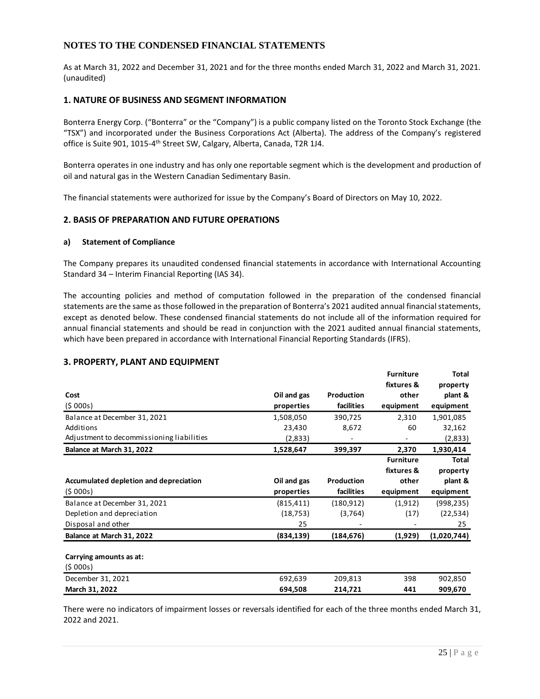### **NOTES TO THE CONDENSED FINANCIAL STATEMENTS**

As at March 31, 2022 and December 31, 2021 and for the three months ended March 31, 2022 and March 31, 2021. (unaudited)

### **1. NATURE OF BUSINESS AND SEGMENT INFORMATION**

Bonterra Energy Corp. ("Bonterra" or the "Company") is a public company listed on the Toronto Stock Exchange (the "TSX") and incorporated under the Business Corporations Act (Alberta). The address of the Company's registered office is Suite 901, 1015-4<sup>th</sup> Street SW, Calgary, Alberta, Canada, T2R 1J4.

Bonterra operates in one industry and has only one reportable segment which is the development and production of oil and natural gas in the Western Canadian Sedimentary Basin.

The financial statements were authorized for issue by the Company's Board of Directors on May 10, 2022.

### **2. BASIS OF PREPARATION AND FUTURE OPERATIONS**

#### **a) Statement of Compliance**

The Company prepares its unaudited condensed financial statements in accordance with International Accounting Standard 34 – Interim Financial Reporting (IAS 34).

The accounting policies and method of computation followed in the preparation of the condensed financial statements are the same as those followed in the preparation of Bonterra's 2021 audited annual financial statements, except as denoted below. These condensed financial statements do not include all of the information required for annual financial statements and should be read in conjunction with the 2021 audited annual financial statements, which have been prepared in accordance with International Financial Reporting Standards (IFRS).

### **3. PROPERTY, PLANT AND EQUIPMENT**

|                                           |             |            | <b>Furniture</b> | Total        |
|-------------------------------------------|-------------|------------|------------------|--------------|
|                                           |             |            | fixtures &       | property     |
| Cost                                      | Oil and gas | Production | other            | plant &      |
| (5000s)                                   | properties  | facilities | equipment        | equipment    |
| Balance at December 31, 2021              | 1,508,050   | 390,725    | 2,310            | 1,901,085    |
| Additions                                 | 23,430      | 8,672      | 60               | 32,162       |
| Adjustment to decommissioning liabilities | (2,833)     |            |                  | (2,833)      |
| Balance at March 31, 2022                 | 1,528,647   | 399,397    | 2,370            | 1,930,414    |
|                                           |             |            | <b>Furniture</b> | <b>Total</b> |
|                                           |             |            | fixtures &       | property     |
| Accumulated depletion and depreciation    | Oil and gas | Production | other            | plant &      |
| (5000s)                                   | properties  | facilities | equipment        | equipment    |
| Balance at December 31, 2021              | (815, 411)  | (180, 912) | (1, 912)         | (998, 235)   |
| Depletion and depreciation                | (18, 753)   | (3, 764)   | (17)             | (22, 534)    |
| Disposal and other                        | 25          |            |                  | 25           |
| Balance at March 31, 2022                 | (834, 139)  | (184, 676) | (1,929)          | (1,020,744)  |
| Carrying amounts as at:                   |             |            |                  |              |
| (5000s)                                   |             |            |                  |              |
| December 31, 2021                         | 692,639     | 209,813    | 398              | 902,850      |
| March 31, 2022                            | 694,508     | 214.721    | 441              | 909,670      |

There were no indicators of impairment losses or reversals identified for each of the three months ended March 31, 2022 and 2021.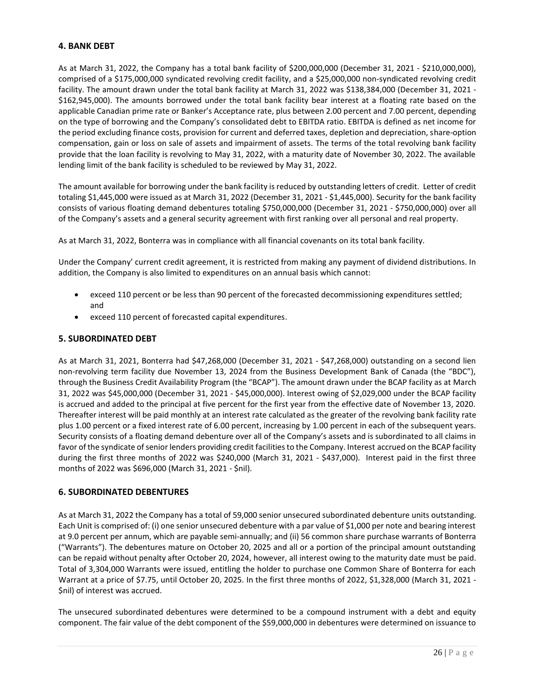### **4. BANK DEBT**

As at March 31, 2022, the Company has a total bank facility of \$200,000,000 (December 31, 2021 - \$210,000,000), comprised of a \$175,000,000 syndicated revolving credit facility, and a \$25,000,000 non-syndicated revolving credit facility. The amount drawn under the total bank facility at March 31, 2022 was \$138,384,000 (December 31, 2021 - \$162,945,000). The amounts borrowed under the total bank facility bear interest at a floating rate based on the applicable Canadian prime rate or Banker's Acceptance rate, plus between 2.00 percent and 7.00 percent, depending on the type of borrowing and the Company's consolidated debt to EBITDA ratio. EBITDA is defined as net income for the period excluding finance costs, provision for current and deferred taxes, depletion and depreciation, share-option compensation, gain or loss on sale of assets and impairment of assets. The terms of the total revolving bank facility provide that the loan facility is revolving to May 31, 2022, with a maturity date of November 30, 2022. The available lending limit of the bank facility is scheduled to be reviewed by May 31, 2022.

The amount available for borrowing under the bank facility is reduced by outstanding letters of credit. Letter of credit totaling \$1,445,000 were issued as at March 31, 2022 (December 31, 2021 - \$1,445,000). Security for the bank facility consists of various floating demand debentures totaling \$750,000,000 (December 31, 2021 - \$750,000,000) over all of the Company's assets and a general security agreement with first ranking over all personal and real property.

As at March 31, 2022, Bonterra was in compliance with all financial covenants on its total bank facility.

Under the Company' current credit agreement, it is restricted from making any payment of dividend distributions. In addition, the Company is also limited to expenditures on an annual basis which cannot:

- exceed 110 percent or be less than 90 percent of the forecasted decommissioning expenditures settled; and
- exceed 110 percent of forecasted capital expenditures.

### **5. SUBORDINATED DEBT**

As at March 31, 2021, Bonterra had \$47,268,000 (December 31, 2021 - \$47,268,000) outstanding on a second lien non-revolving term facility due November 13, 2024 from the Business Development Bank of Canada (the "BDC"), through the Business Credit Availability Program (the "BCAP"). The amount drawn under the BCAP facility as at March 31, 2022 was \$45,000,000 (December 31, 2021 - \$45,000,000). Interest owing of \$2,029,000 under the BCAP facility is accrued and added to the principal at five percent for the first year from the effective date of November 13, 2020. Thereafter interest will be paid monthly at an interest rate calculated as the greater of the revolving bank facility rate plus 1.00 percent or a fixed interest rate of 6.00 percent, increasing by 1.00 percent in each of the subsequent years. Security consists of a floating demand debenture over all of the Company's assets and is subordinated to all claims in favor of the syndicate of senior lenders providing credit facilities to the Company. Interest accrued on the BCAP facility during the first three months of 2022 was \$240,000 (March 31, 2021 - \$437,000). Interest paid in the first three months of 2022 was \$696,000 (March 31, 2021 - \$nil).

### **6. SUBORDINATED DEBENTURES**

As at March 31, 2022 the Company has a total of 59,000 senior unsecured subordinated debenture units outstanding. Each Unit is comprised of: (i) one senior unsecured debenture with a par value of \$1,000 per note and bearing interest at 9.0 percent per annum, which are payable semi-annually; and (ii) 56 common share purchase warrants of Bonterra ("Warrants"). The debentures mature on October 20, 2025 and all or a portion of the principal amount outstanding can be repaid without penalty after October 20, 2024, however, all interest owing to the maturity date must be paid. Total of 3,304,000 Warrants were issued, entitling the holder to purchase one Common Share of Bonterra for each Warrant at a price of \$7.75, until October 20, 2025. In the first three months of 2022, \$1,328,000 (March 31, 2021 - \$nil) of interest was accrued.

The unsecured subordinated debentures were determined to be a compound instrument with a debt and equity component. The fair value of the debt component of the \$59,000,000 in debentures were determined on issuance to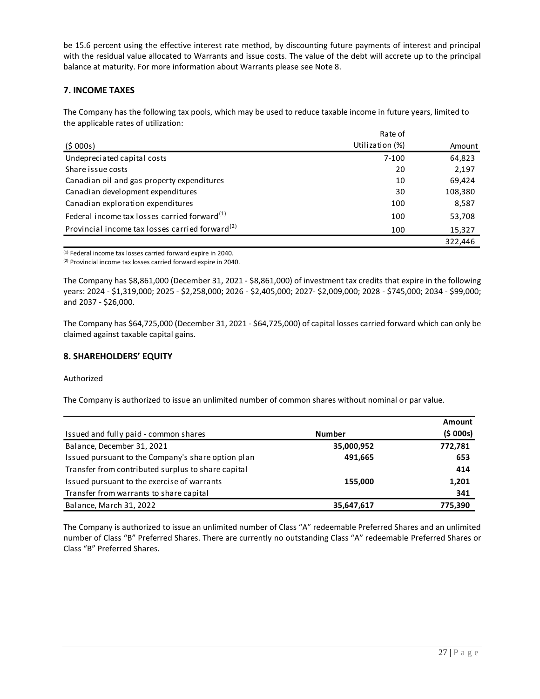be 15.6 percent using the effective interest rate method, by discounting future payments of interest and principal with the residual value allocated to Warrants and issue costs. The value of the debt will accrete up to the principal balance at maturity. For more information about Warrants please see Note 8.

### **7. INCOME TAXES**

The Company has the following tax pools, which may be used to reduce taxable income in future years, limited to the applicable rates of utilization:

|                                                             | Rate of         |         |
|-------------------------------------------------------------|-----------------|---------|
| (5000s)                                                     | Utilization (%) | Amount  |
| Undepreciated capital costs                                 | 7-100           | 64,823  |
| Share issue costs                                           | 20              | 2,197   |
| Canadian oil and gas property expenditures                  | 10              | 69,424  |
| Canadian development expenditures                           | 30              | 108,380 |
| Canadian exploration expenditures                           | 100             | 8,587   |
| Federal income tax losses carried forward <sup>(1)</sup>    | 100             | 53,708  |
| Provincial income tax losses carried forward <sup>(2)</sup> | 100             | 15,327  |
|                                                             |                 | 322.446 |

(1) Federal income tax losses carried forward expire in 2040.

(2) Provincial income tax losses carried forward expire in 2040.

The Company has \$8,861,000 (December 31, 2021 - \$8,861,000) of investment tax credits that expire in the following years: 2024 - \$1,319,000; 2025 - \$2,258,000; 2026 - \$2,405,000; 2027- \$2,009,000; 2028 - \$745,000; 2034 - \$99,000; and 2037 - \$26,000.

The Company has \$64,725,000 (December 31, 2021 - \$64,725,000) of capital losses carried forward which can only be claimed against taxable capital gains.

### **8. SHAREHOLDERS' EQUITY**

#### Authorized

The Company is authorized to issue an unlimited number of common shares without nominal or par value.

|                                                    |               | Amount  |
|----------------------------------------------------|---------------|---------|
| Issued and fully paid - common shares              | <b>Number</b> | (5000s) |
| Balance, December 31, 2021                         | 35,000,952    | 772,781 |
| Issued pursuant to the Company's share option plan | 491,665       | 653     |
| Transfer from contributed surplus to share capital |               | 414     |
| Issued pursuant to the exercise of warrants        | 155,000       | 1,201   |
| Transfer from warrants to share capital            |               | 341     |
| Balance, March 31, 2022                            | 35,647,617    | 775,390 |

The Company is authorized to issue an unlimited number of Class "A" redeemable Preferred Shares and an unlimited number of Class "B" Preferred Shares. There are currently no outstanding Class "A" redeemable Preferred Shares or Class "B" Preferred Shares.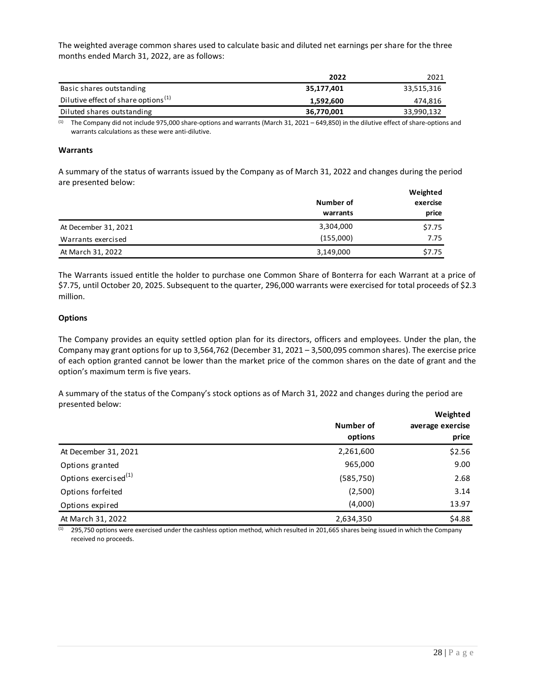The weighted average common shares used to calculate basic and diluted net earnings per share for the three months ended March 31, 2022, are as follows:

|                                                 | 2022       | 2021       |
|-------------------------------------------------|------------|------------|
| Basic shares outstanding                        | 35,177,401 | 33,515,316 |
| Dilutive effect of share options <sup>(1)</sup> | 1.592.600  | 474,816    |
| Diluted shares outstanding                      | 36,770,001 | 33,990,132 |

 $(1)$  The Company did not include 975,000 share-options and warrants (March 31, 2021 – 649,850) in the dilutive effect of share-options and warrants calculations as these were anti-dilutive.

#### **Warrants**

A summary of the status of warrants issued by the Company as of March 31, 2022 and changes during the period are presented below: **Weighted**

|                      | Number of | Weighted<br>exercise |  |
|----------------------|-----------|----------------------|--|
|                      | warrants  | price                |  |
| At December 31, 2021 | 3,304,000 | \$7.75               |  |
| Warrants exercised   | (155,000) | 7.75                 |  |
| At March 31, 2022    | 3,149,000 | \$7.75               |  |

The Warrants issued entitle the holder to purchase one Common Share of Bonterra for each Warrant at a price of \$7.75, until October 20, 2025. Subsequent to the quarter, 296,000 warrants were exercised for total proceeds of \$2.3 million.

#### **Options**

The Company provides an equity settled option plan for its directors, officers and employees. Under the plan, the Company may grant options for up to 3,564,762 (December 31, 2021 – 3,500,095 common shares). The exercise price of each option granted cannot be lower than the market price of the common shares on the date of grant and the option's maximum term is five years.

A summary of the status of the Company's stock options as of March 31, 2022 and changes during the period are presented below:

|                                  | Number of<br>options | Weighted<br>average exercise<br>price |
|----------------------------------|----------------------|---------------------------------------|
| At December 31, 2021             | 2,261,600            | \$2.56                                |
| Options granted                  | 965,000              | 9.00                                  |
| Options exercised <sup>(1)</sup> | (585, 750)           | 2.68                                  |
| Options forfeited                | (2,500)              | 3.14                                  |
| Options expired                  | (4,000)              | 13.97                                 |
| At March 31, 2022                | 2,634,350            | \$4.88                                |

 $(1)$  295,750 options were exercised under the cashless option method, which resulted in 201,665 shares being issued in which the Company received no proceeds.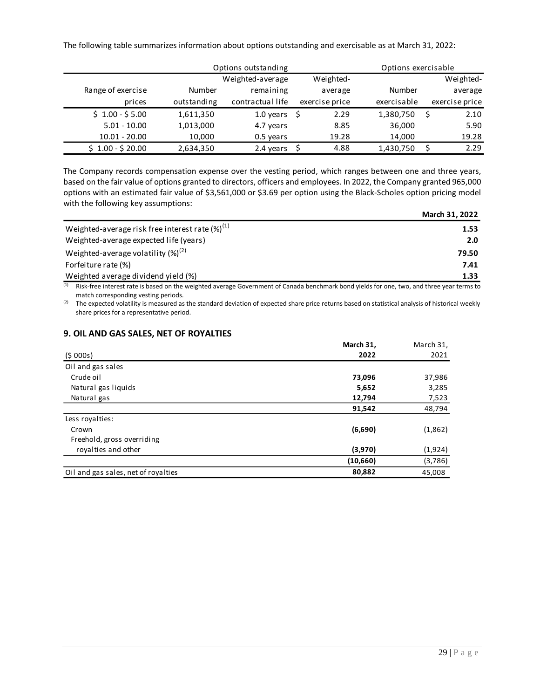The following table summarizes information about options outstanding and exercisable as at March 31, 2022:

|                   |               | Options outstanding |                | Options exercisable |                |
|-------------------|---------------|---------------------|----------------|---------------------|----------------|
|                   |               | Weighted-average    | Weighted-      |                     | Weighted-      |
| Range of exercise | <b>Number</b> | remaining           | average        | Number              | average        |
| prices            | outstanding   | contractual life    | exercise price | exercisable         | exercise price |
| $$1.00 - $5.00$   | 1,611,350     | 1.0 years           | 2.29           | 1,380,750           | 2.10           |
| $5.01 - 10.00$    | 1,013,000     | 4.7 years           | 8.85           | 36,000              | 5.90           |
| $10.01 - 20.00$   | 10,000        | 0.5 years           | 19.28          | 14,000              | 19.28          |
| $$1.00 - $20.00$  | 2,634,350     | 2.4 years           | 4.88           | 1,430,750           | 2.29           |

The Company records compensation expense over the vesting period, which ranges between one and three years, based on the fair value of options granted to directors, officers and employees. In 2022, the Company granted 965,000 options with an estimated fair value of \$3,561,000 or \$3.69 per option using the Black-Scholes option pricing model with the following key assumptions:

|                                                       | March 31, 2022 |
|-------------------------------------------------------|----------------|
| Weighted-average risk free interest rate $(\%)^{(1)}$ | 1.53           |
| Weighted-average expected life (years)                | 2.0            |
| Weighted-average volatility $(\%)^{(2)}$              | 79.50          |
| Forfeiture rate (%)                                   | 7.41           |
| Weighted average dividend yield (%)                   | 1.33           |

(1) Risk-free interest rate is based on the weighted average Government of Canada benchmark bond yields for one, two, and three year terms to match corresponding vesting periods.

 $(2)$  The expected volatility is measured as the standard deviation of expected share price returns based on statistical analysis of historical weekly share prices for a representative period.

### **9. OIL AND GAS SALES, NET OF ROYALTIES**

|                                     | March 31, | March 31, |
|-------------------------------------|-----------|-----------|
| (5000s)                             | 2022      | 2021      |
| Oil and gas sales                   |           |           |
| Crude oil                           | 73,096    | 37,986    |
| Natural gas liquids                 | 5,652     | 3,285     |
| Natural gas                         | 12,794    | 7,523     |
|                                     | 91,542    | 48,794    |
| Less royalties:                     |           |           |
| Crown                               | (6,690)   | (1,862)   |
| Freehold, gross overriding          |           |           |
| royalties and other                 | (3,970)   | (1,924)   |
|                                     | (10,660)  | (3,786)   |
| Oil and gas sales, net of royalties | 80,882    | 45.008    |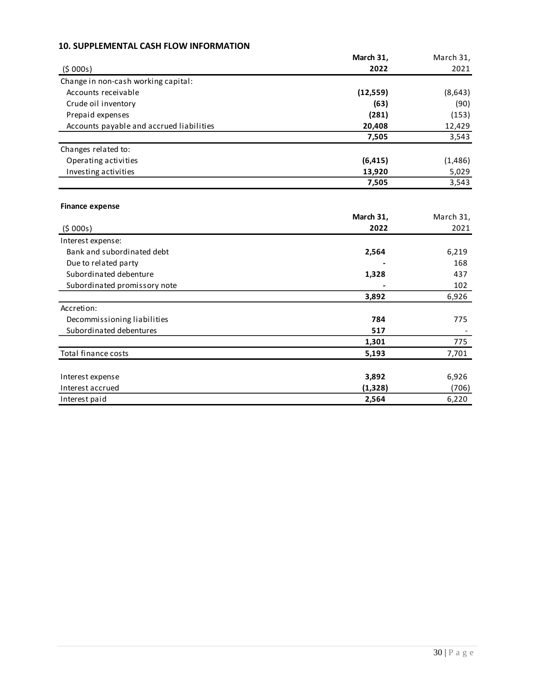## **10. SUPPLEMENTAL CASH FLOW INFORMATION**

|                                          | March 31, | March 31, |
|------------------------------------------|-----------|-----------|
| (5000s)                                  | 2022      | 2021      |
| Change in non-cash working capital:      |           |           |
| Accounts receivable                      | (12, 559) | (8,643)   |
| Crude oil inventory                      | (63)      | (90)      |
| Prepaid expenses                         | (281)     | (153)     |
| Accounts payable and accrued liabilities | 20,408    | 12,429    |
|                                          | 7,505     | 3,543     |
| Changes related to:                      |           |           |
| Operating activities                     | (6, 415)  | (1, 486)  |
| Investing activities                     | 13,920    | 5,029     |
|                                          | 7,505     | 3,543     |
|                                          |           |           |
| <b>Finance expense</b>                   |           |           |
|                                          | March 31, | March 31, |
| (5000s)                                  | 2022      | 2021      |
| Interest expense:                        |           |           |
| Bank and subordinated debt               | 2,564     | 6,219     |
| Due to related party                     |           | 168       |
| Subordinated debenture                   | 1,328     | 437       |
| Subordinated promissory note             |           | 102       |
|                                          | 3,892     | 6,926     |
| Accretion:                               |           |           |
| Decommissioning liabilities              | 784       | 775       |
| Subordinated debentures                  | 517       |           |
|                                          | 1,301     | 775       |
| Total finance costs                      | 5,193     | 7,701     |
|                                          |           |           |
| Interest expense                         | 3,892     | 6,926     |
| Interest accrued                         | (1, 328)  | (706)     |
| Interest paid                            | 2,564     | 6,220     |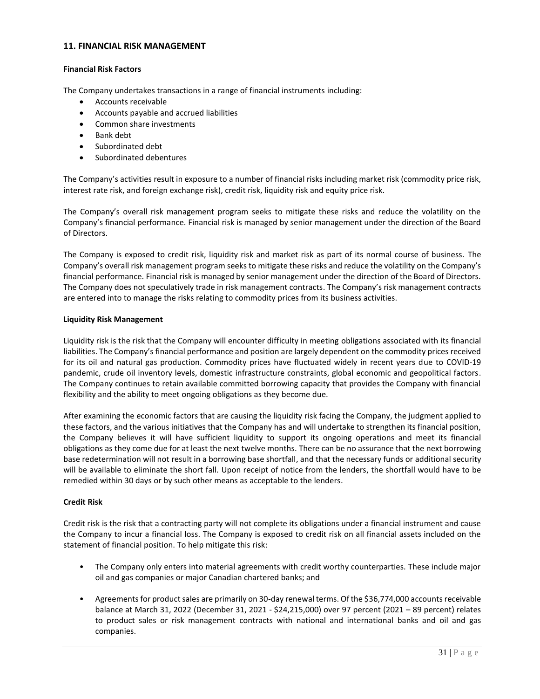### **11. FINANCIAL RISK MANAGEMENT**

### **Financial Risk Factors**

The Company undertakes transactions in a range of financial instruments including:

- Accounts receivable
- Accounts payable and accrued liabilities
- Common share investments
- Bank debt
- Subordinated debt
- Subordinated debentures

The Company's activities result in exposure to a number of financial risks including market risk (commodity price risk, interest rate risk, and foreign exchange risk), credit risk, liquidity risk and equity price risk.

The Company's overall risk management program seeks to mitigate these risks and reduce the volatility on the Company's financial performance. Financial risk is managed by senior management under the direction of the Board of Directors.

The Company is exposed to credit risk, liquidity risk and market risk as part of its normal course of business. The Company's overall risk management program seeks to mitigate these risks and reduce the volatility on the Company's financial performance. Financial risk is managed by senior management under the direction of the Board of Directors. The Company does not speculatively trade in risk management contracts. The Company's risk management contracts are entered into to manage the risks relating to commodity prices from its business activities.

#### **Liquidity Risk Management**

Liquidity risk is the risk that the Company will encounter difficulty in meeting obligations associated with its financial liabilities. The Company's financial performance and position are largely dependent on the commodity prices received for its oil and natural gas production. Commodity prices have fluctuated widely in recent years due to COVID-19 pandemic, crude oil inventory levels, domestic infrastructure constraints, global economic and geopolitical factors. The Company continues to retain available committed borrowing capacity that provides the Company with financial flexibility and the ability to meet ongoing obligations as they become due.

After examining the economic factors that are causing the liquidity risk facing the Company, the judgment applied to these factors, and the various initiatives that the Company has and will undertake to strengthen its financial position, the Company believes it will have sufficient liquidity to support its ongoing operations and meet its financial obligations as they come due for at least the next twelve months. There can be no assurance that the next borrowing base redetermination will not result in a borrowing base shortfall, and that the necessary funds or additional security will be available to eliminate the short fall. Upon receipt of notice from the lenders, the shortfall would have to be remedied within 30 days or by such other means as acceptable to the lenders.

### **Credit Risk**

Credit risk is the risk that a contracting party will not complete its obligations under a financial instrument and cause the Company to incur a financial loss. The Company is exposed to credit risk on all financial assets included on the statement of financial position. To help mitigate this risk:

- The Company only enters into material agreements with credit worthy counterparties. These include major oil and gas companies or major Canadian chartered banks; and
- Agreements for product sales are primarily on 30-day renewal terms. Of the \$36,774,000 accounts receivable balance at March 31, 2022 (December 31, 2021 - \$24,215,000) over 97 percent (2021 – 89 percent) relates to product sales or risk management contracts with national and international banks and oil and gas companies.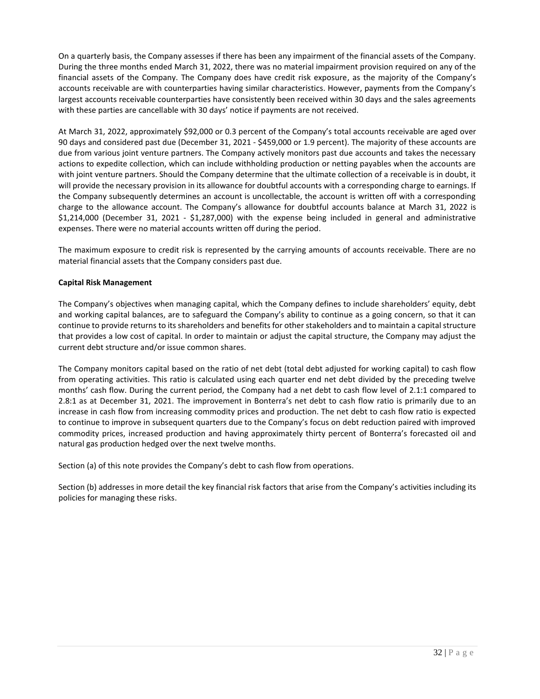On a quarterly basis, the Company assesses if there has been any impairment of the financial assets of the Company. During the three months ended March 31, 2022, there was no material impairment provision required on any of the financial assets of the Company. The Company does have credit risk exposure, as the majority of the Company's accounts receivable are with counterparties having similar characteristics. However, payments from the Company's largest accounts receivable counterparties have consistently been received within 30 days and the sales agreements with these parties are cancellable with 30 days' notice if payments are not received.

At March 31, 2022, approximately \$92,000 or 0.3 percent of the Company's total accounts receivable are aged over 90 days and considered past due (December 31, 2021 - \$459,000 or 1.9 percent). The majority of these accounts are due from various joint venture partners. The Company actively monitors past due accounts and takes the necessary actions to expedite collection, which can include withholding production or netting payables when the accounts are with joint venture partners. Should the Company determine that the ultimate collection of a receivable is in doubt, it will provide the necessary provision in its allowance for doubtful accounts with a corresponding charge to earnings. If the Company subsequently determines an account is uncollectable, the account is written off with a corresponding charge to the allowance account. The Company's allowance for doubtful accounts balance at March 31, 2022 is \$1,214,000 (December 31, 2021 - \$1,287,000) with the expense being included in general and administrative expenses. There were no material accounts written off during the period.

The maximum exposure to credit risk is represented by the carrying amounts of accounts receivable. There are no material financial assets that the Company considers past due.

### **Capital Risk Management**

The Company's objectives when managing capital, which the Company defines to include shareholders' equity, debt and working capital balances, are to safeguard the Company's ability to continue as a going concern, so that it can continue to provide returns to its shareholders and benefits for other stakeholders and to maintain a capital structure that provides a low cost of capital. In order to maintain or adjust the capital structure, the Company may adjust the current debt structure and/or issue common shares.

The Company monitors capital based on the ratio of net debt (total debt adjusted for working capital) to cash flow from operating activities. This ratio is calculated using each quarter end net debt divided by the preceding twelve months' cash flow. During the current period, the Company had a net debt to cash flow level of 2.1:1 compared to 2.8:1 as at December 31, 2021. The improvement in Bonterra's net debt to cash flow ratio is primarily due to an increase in cash flow from increasing commodity prices and production. The net debt to cash flow ratio is expected to continue to improve in subsequent quarters due to the Company's focus on debt reduction paired with improved commodity prices, increased production and having approximately thirty percent of Bonterra's forecasted oil and natural gas production hedged over the next twelve months.

Section (a) of this note provides the Company's debt to cash flow from operations.

Section (b) addresses in more detail the key financial risk factors that arise from the Company's activities including its policies for managing these risks.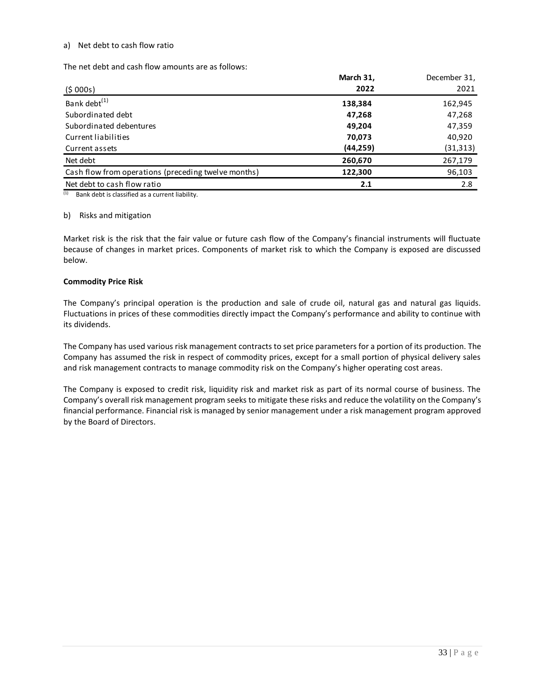#### a) Net debt to cash flow ratio

The net debt and cash flow amounts are as follows:

|                                                     | March 31, | December 31, |
|-----------------------------------------------------|-----------|--------------|
| (5000s)                                             | 2022      | 2021         |
| Bank debt <sup>(1)</sup>                            | 138,384   | 162,945      |
| Subordinated debt                                   | 47,268    | 47,268       |
| Subordinated debentures                             | 49,204    | 47,359       |
| Current liabilities                                 | 70.073    | 40.920       |
| Current assets                                      | (44,259)  | (31, 313)    |
| Net debt                                            | 260,670   | 267,179      |
| Cash flow from operations (preceding twelve months) | 122,300   | 96,103       |
| Net debt to cash flow ratio                         | 2.1       | 2.8          |

 $(1)$  Bank debt is classified as a current liability.

#### b) Risks and mitigation

Market risk is the risk that the fair value or future cash flow of the Company's financial instruments will fluctuate because of changes in market prices. Components of market risk to which the Company is exposed are discussed below.

#### **Commodity Price Risk**

The Company's principal operation is the production and sale of crude oil, natural gas and natural gas liquids. Fluctuations in prices of these commodities directly impact the Company's performance and ability to continue with its dividends.

The Company has used various risk management contracts to set price parameters for a portion of its production. The Company has assumed the risk in respect of commodity prices, except for a small portion of physical delivery sales and risk management contracts to manage commodity risk on the Company's higher operating cost areas.

The Company is exposed to credit risk, liquidity risk and market risk as part of its normal course of business. The Company's overall risk management program seeks to mitigate these risks and reduce the volatility on the Company's financial performance. Financial risk is managed by senior management under a risk management program approved by the Board of Directors.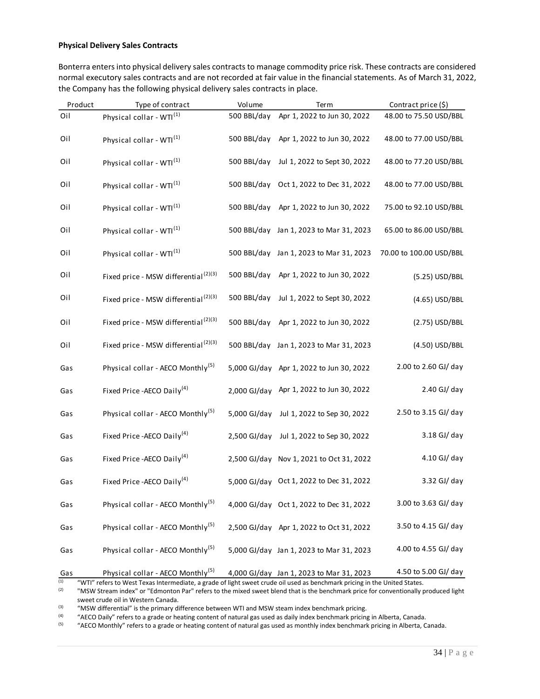#### **Physical Delivery Sales Contracts**

Bonterra enters into physical delivery sales contracts to manage commodity price risk. These contracts are considered normal executory sales contracts and are not recorded at fair value in the financial statements. As of March 31, 2022, the Company has the following physical delivery sales contracts in place.

| Product    | Type of contract                                                                                                                                                          | Volume         | Term                                     | Contract price (\$)     |
|------------|---------------------------------------------------------------------------------------------------------------------------------------------------------------------------|----------------|------------------------------------------|-------------------------|
| Oil        | Physical collar - WTI <sup>(1)</sup>                                                                                                                                      | 500 BBL/day    | Apr 1, 2022 to Jun 30, 2022              | 48.00 to 75.50 USD/BBL  |
| Oil        | Physical collar - WTI <sup>(1)</sup>                                                                                                                                      | 500 BBL/day    | Apr 1, 2022 to Jun 30, 2022              | 48.00 to 77.00 USD/BBL  |
| Oil        | Physical collar - WTI <sup>(1)</sup>                                                                                                                                      | 500 BBL/day    | Jul 1, 2022 to Sept 30, 2022             | 48.00 to 77.20 USD/BBL  |
| Oil        | Physical collar - WTI <sup>(1)</sup>                                                                                                                                      | 500 BBL/day    | Oct 1, 2022 to Dec 31, 2022              | 48.00 to 77.00 USD/BBL  |
| Oil        | Physical collar - WTI <sup>(1)</sup>                                                                                                                                      | 500 BBL/day    | Apr 1, 2022 to Jun 30, 2022              | 75.00 to 92.10 USD/BBL  |
| Oil        | Physical collar - WTI <sup>(1)</sup>                                                                                                                                      |                | 500 BBL/day Jan 1, 2023 to Mar 31, 2023  | 65.00 to 86.00 USD/BBL  |
| Oil        | Physical collar - WTI <sup>(1)</sup>                                                                                                                                      |                | 500 BBL/day Jan 1, 2023 to Mar 31, 2023  | 70.00 to 100.00 USD/BBL |
| Oil        | Fixed price - MSW differential <sup>(2)(3)</sup>                                                                                                                          | 500 BBL/day    | Apr 1, 2022 to Jun 30, 2022              | (5.25) USD/BBL          |
| Oil        | Fixed price - MSW differential <sup>(2)(3)</sup>                                                                                                                          | 500 BBL/day    | Jul 1, 2022 to Sept 30, 2022             | (4.65) USD/BBL          |
| Oil        | Fixed price - MSW differential <sup>(2)(3)</sup>                                                                                                                          | 500 BBL/day    | Apr 1, 2022 to Jun 30, 2022              | (2.75) USD/BBL          |
| Oil        | Fixed price - MSW differential <sup>(2)(3)</sup>                                                                                                                          |                | 500 BBL/day Jan 1, 2023 to Mar 31, 2023  | (4.50) USD/BBL          |
| Gas        | Physical collar - AECO Monthly <sup>(5)</sup>                                                                                                                             | 5,000 GJ/day   | Apr 1, 2022 to Jun 30, 2022              | 2.00 to 2.60 GJ/ day    |
| Gas        | Fixed Price - AECO Daily <sup>(4)</sup>                                                                                                                                   | 2,000 GJ/day   | Apr 1, 2022 to Jun 30, 2022              | 2.40 GJ/ day            |
| Gas        | Physical collar - AECO Monthly <sup>(5)</sup>                                                                                                                             | 5,000 GJ/day   | Jul 1, 2022 to Sep 30, 2022              | 2.50 to 3.15 GJ/ day    |
| Gas        | Fixed Price - AECO Daily <sup>(4)</sup>                                                                                                                                   | $2,500$ GJ/day | Jul 1, 2022 to Sep 30, 2022              | 3.18 GJ/ day            |
| Gas        | Fixed Price - AECO Daily <sup>(4)</sup>                                                                                                                                   | $2,500$ GJ/day | Nov 1, 2021 to Oct 31, 2022              | 4.10 GJ/ day            |
| Gas        | Fixed Price - AECO Daily <sup>(4)</sup>                                                                                                                                   | 5,000 GJ/day   | Oct 1, 2022 to Dec 31, 2022              | 3.32 GJ/ day            |
| Gas        | Physical collar - AECO Monthly <sup>(5)</sup>                                                                                                                             |                | 4,000 GJ/day Oct 1, 2022 to Dec 31, 2022 | 3.00 to 3.63 GJ/ day    |
| Gas        | Physical collar - AECO Monthly <sup>(5)</sup>                                                                                                                             |                | 2,500 GJ/day Apr 1, 2022 to Oct 31, 2022 | 3.50 to 4.15 GJ/ day    |
| Gas        | Physical collar - AECO Monthly <sup>(5)</sup>                                                                                                                             |                | 5,000 GJ/day Jan 1, 2023 to Mar 31, 2023 | 4.00 to 4.55 GJ/ day    |
| Gas<br>(1) | Physical collar - AECO Monthly <sup>(5)</sup><br>"WTI" refers to West Texas Intermediate, a grade of light sweet crude oil used as benchmark pricing in the United States |                | 4,000 GJ/day Jan 1, 2023 to Mar 31, 2023 | 4.50 to 5.00 GJ/ day    |

(1) "WTI" refers to West Texas Intermediate, a grade of light sweet crude oil used as benchmark pricing in the United States.<br>(2) WISW Stream index" or "Edmonton Par" refers to the mixed sweet blend that is the benchmark

(2) "MSW Stream index" or "Edmonton Par" refers to the mixed sweet blend that is the benchmark price for conventionally produced light sweet crude oil in Western Canada.

(3) "MSW differential" is the primary difference between WTI and MSW steam index benchmark pricing.<br>"AECO Daily" refers to a grade or beating content of natural gas used as daily index benchmark pricing.

(4) "AECO Daily" refers to a grade or heating content of natural gas used as daily index benchmark pricing in Alberta, Canada.<br>(5) "AECO Monthly" refers to a grade or heating content of natural gas used as monthly index b

(5) "AECO Monthly" refers to a grade or heating content of natural gas used as monthly index benchmark pricing in Alberta, Canada.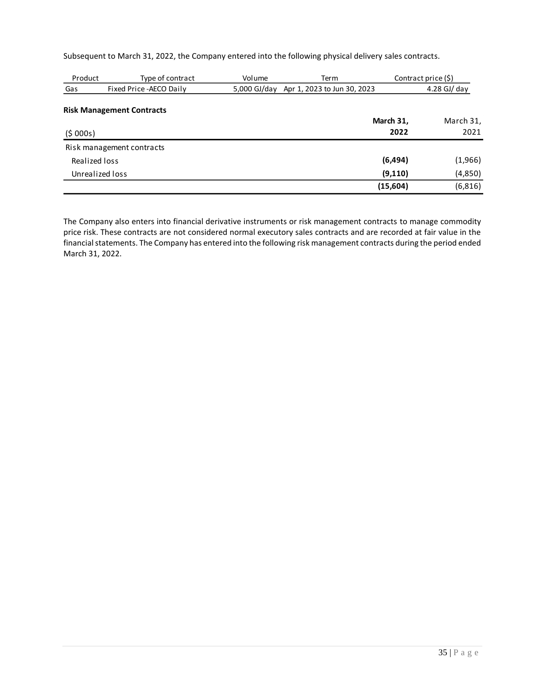Subsequent to March 31, 2022, the Company entered into the following physical delivery sales contracts.

| Product         | Type of contract                 | Volume       | Term                        | Contract price (\$) |               |
|-----------------|----------------------------------|--------------|-----------------------------|---------------------|---------------|
| Gas             | Fixed Price - AECO Daily         | 5,000 GJ/day | Apr 1, 2023 to Jun 30, 2023 |                     | $4.28$ GJ/day |
|                 | <b>Risk Management Contracts</b> |              |                             |                     |               |
|                 |                                  |              |                             | March 31,           | March 31,     |
| (5000s)         |                                  |              |                             | 2022                | 2021          |
|                 | Risk management contracts        |              |                             |                     |               |
| Realized loss   |                                  |              |                             | (6, 494)            | (1,966)       |
| Unrealized loss |                                  |              |                             | (9, 110)            | (4,850)       |
|                 |                                  |              |                             | (15,604)            | (6, 816)      |

The Company also enters into financial derivative instruments or risk management contracts to manage commodity price risk. These contracts are not considered normal executory sales contracts and are recorded at fair value in the financial statements. The Company has entered into the following risk management contracts during the period ended March 31, 2022.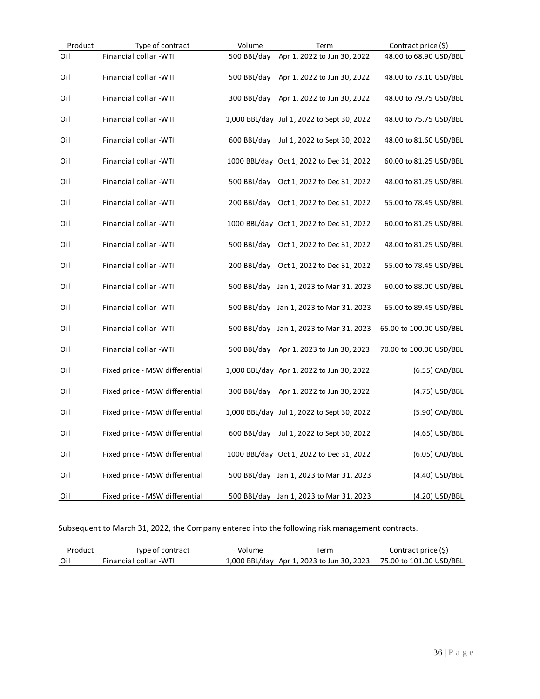| Product | Type of contract               | Volume      | Term                                       | Contract price (\$)     |
|---------|--------------------------------|-------------|--------------------------------------------|-------------------------|
| Oil     | Financial collar - WTI         | 500 BBL/day | Apr 1, 2022 to Jun 30, 2022                | 48.00 to 68.90 USD/BBL  |
| Oil     | Financial collar -WTI          | 500 BBL/day | Apr 1, 2022 to Jun 30, 2022                | 48.00 to 73.10 USD/BBL  |
| Oil     | Financial collar -WTI          | 300 BBL/day | Apr 1, 2022 to Jun 30, 2022                | 48.00 to 79.75 USD/BBL  |
| Oil     | Financial collar -WTI          |             | 1,000 BBL/day Jul 1, 2022 to Sept 30, 2022 | 48.00 to 75.75 USD/BBL  |
| Oil     | Financial collar -WTI          | 600 BBL/day | Jul 1, 2022 to Sept 30, 2022               | 48.00 to 81.60 USD/BBL  |
| Oil     | Financial collar - WTI         |             | 1000 BBL/day Oct 1, 2022 to Dec 31, 2022   | 60.00 to 81.25 USD/BBL  |
| Oil     | Financial collar - WTI         | 500 BBL/day | Oct 1, 2022 to Dec 31, 2022                | 48.00 to 81.25 USD/BBL  |
| Oil     | Financial collar - WTI         | 200 BBL/day | Oct 1, 2022 to Dec 31, 2022                | 55.00 to 78.45 USD/BBL  |
| Oil     | Financial collar - WTI         |             | 1000 BBL/day Oct 1, 2022 to Dec 31, 2022   | 60.00 to 81.25 USD/BBL  |
| Oil     | Financial collar - WTI         | 500 BBL/day | Oct 1, 2022 to Dec 31, 2022                | 48.00 to 81.25 USD/BBL  |
| Oil     | Financial collar - WTI         | 200 BBL/day | Oct 1, 2022 to Dec 31, 2022                | 55.00 to 78.45 USD/BBL  |
| Oil     | Financial collar - WTI         | 500 BBL/day | Jan 1, 2023 to Mar 31, 2023                | 60.00 to 88.00 USD/BBL  |
| Oil     | Financial collar - WTI         | 500 BBL/day | Jan 1, 2023 to Mar 31, 2023                | 65.00 to 89.45 USD/BBL  |
| Oil     | Financial collar - WTI         | 500 BBL/day | Jan 1, 2023 to Mar 31, 2023                | 65.00 to 100.00 USD/BBL |
| Oil     | Financial collar - WTI         | 500 BBL/day | Apr 1, 2023 to Jun 30, 2023                | 70.00 to 100.00 USD/BBL |
| Oil     | Fixed price - MSW differential |             | 1,000 BBL/day Apr 1, 2022 to Jun 30, 2022  | (6.55) CAD/BBL          |
| Oil     | Fixed price - MSW differential | 300 BBL/day | Apr 1, 2022 to Jun 30, 2022                | (4.75) USD/BBL          |
| Oil     | Fixed price - MSW differential |             | 1,000 BBL/day Jul 1, 2022 to Sept 30, 2022 | (5.90) CAD/BBL          |
| Oil     | Fixed price - MSW differential |             | 600 BBL/day Jul 1, 2022 to Sept 30, 2022   | (4.65) USD/BBL          |
| Oil     | Fixed price - MSW differential |             | 1000 BBL/day Oct 1, 2022 to Dec 31, 2022   | (6.05) CAD/BBL          |
| Oil     | Fixed price - MSW differential |             | 500 BBL/day Jan 1, 2023 to Mar 31, 2023    | (4.40) USD/BBL          |
| Oil     | Fixed price - MSW differential |             | 500 BBL/day Jan 1, 2023 to Mar 31, 2023    | (4.20) USD/BBL          |

Subsequent to March 31, 2022, the Company entered into the following risk management contracts.

| Product | Type of contract      | Volume | Term                                                              | Contract price (\$) |
|---------|-----------------------|--------|-------------------------------------------------------------------|---------------------|
| Oil     | Financial collar -WTI |        | 1.000 BBL/day Apr 1, 2023 to Jun 30, 2023 75.00 to 101.00 USD/BBL |                     |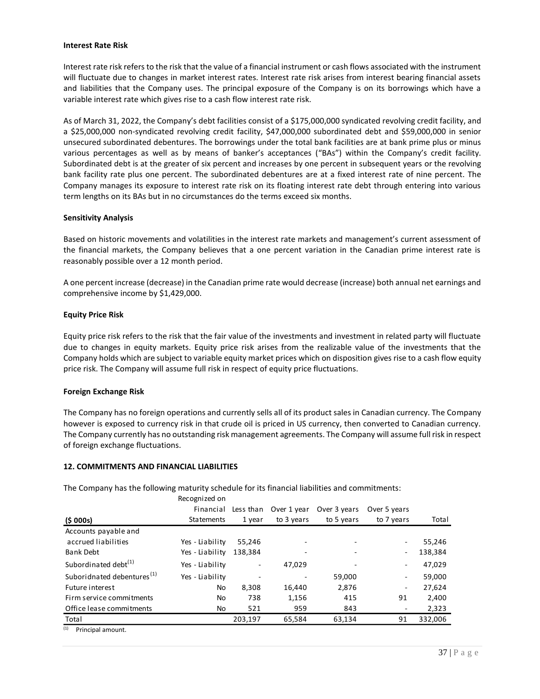#### **Interest Rate Risk**

Interest rate risk refers to the risk that the value of a financial instrument or cash flows associated with the instrument will fluctuate due to changes in market interest rates. Interest rate risk arises from interest bearing financial assets and liabilities that the Company uses. The principal exposure of the Company is on its borrowings which have a variable interest rate which gives rise to a cash flow interest rate risk.

As of March 31, 2022, the Company's debt facilities consist of a \$175,000,000 syndicated revolving credit facility, and a \$25,000,000 non-syndicated revolving credit facility, \$47,000,000 subordinated debt and \$59,000,000 in senior unsecured subordinated debentures. The borrowings under the total bank facilities are at bank prime plus or minus various percentages as well as by means of banker's acceptances ("BAs") within the Company's credit facility. Subordinated debt is at the greater of six percent and increases by one percent in subsequent years or the revolving bank facility rate plus one percent. The subordinated debentures are at a fixed interest rate of nine percent. The Company manages its exposure to interest rate risk on its floating interest rate debt through entering into various term lengths on its BAs but in no circumstances do the terms exceed six months.

#### **Sensitivity Analysis**

Based on historic movements and volatilities in the interest rate markets and management's current assessment of the financial markets, the Company believes that a one percent variation in the Canadian prime interest rate is reasonably possible over a 12 month period.

A one percent increase (decrease) in the Canadian prime rate would decrease (increase) both annual net earnings and comprehensive income by \$1,429,000.

#### **Equity Price Risk**

Equity price risk refers to the risk that the fair value of the investments and investment in related party will fluctuate due to changes in equity markets. Equity price risk arises from the realizable value of the investments that the Company holds which are subject to variable equity market prices which on disposition gives rise to a cash flow equity price risk. The Company will assume full risk in respect of equity price fluctuations.

#### **Foreign Exchange Risk**

The Company has no foreign operations and currently sells all of its product sales in Canadian currency. The Company however is exposed to currency risk in that crude oil is priced in US currency, then converted to Canadian currency. The Company currently has no outstanding risk management agreements. The Company will assume full risk in respect of foreign exchange fluctuations.

#### **12. COMMITMENTS AND FINANCIAL LIABILITIES**

The Company has the following maturity schedule for its financial liabilities and commitments:

|                                        | Recognized on     |           |             |              |                          |         |
|----------------------------------------|-------------------|-----------|-------------|--------------|--------------------------|---------|
|                                        | Financial         | Less than | Over 1 year | Over 3 years | Over 5 years             |         |
| (5000s)                                | <b>Statements</b> | 1 year    | to 3 years  | to 5 years   | to 7 years               | Total   |
| Accounts payable and                   |                   |           |             |              |                          |         |
| accrued liabilities                    | Yes - Liability   | 55.246    |             |              | ۰.                       | 55,246  |
| <b>Bank Debt</b>                       | Yes - Liability   | 138,384   |             |              | ۰.                       | 138,384 |
| Subordinated debt <sup>(1)</sup>       | Yes - Liability   |           | 47,029      |              | ۰.                       | 47,029  |
| Suboridnated debentures <sup>(1)</sup> | Yes - Liability   |           |             | 59,000       | ۰                        | 59,000  |
| Future interest                        | No                | 8.308     | 16.440      | 2.876        | $\overline{\phantom{a}}$ | 27.624  |
| Firm service commitments               | No                | 738       | 1,156       | 415          | 91                       | 2.400   |
| Office lease commitments               | No                | 521       | 959         | 843          |                          | 2,323   |
| Total                                  |                   | 203,197   | 65,584      | 63,134       | 91                       | 332,006 |
| (1)<br>Princinal amount                |                   |           |             |              |                          |         |

(1) Principal amount.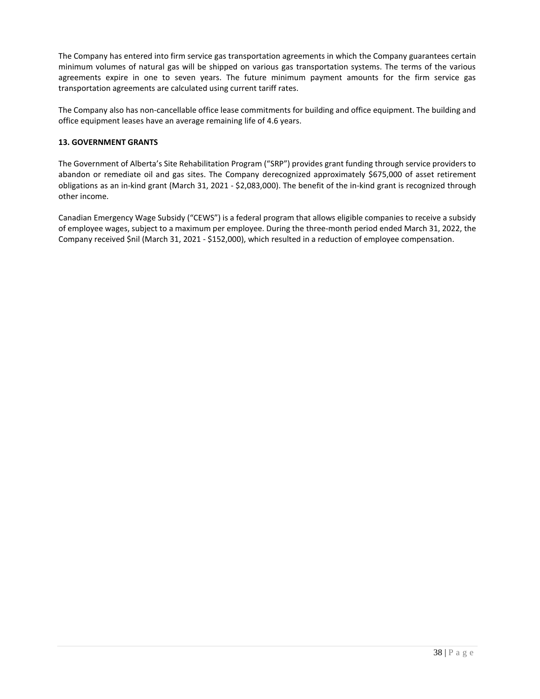The Company has entered into firm service gas transportation agreements in which the Company guarantees certain minimum volumes of natural gas will be shipped on various gas transportation systems. The terms of the various agreements expire in one to seven years. The future minimum payment amounts for the firm service gas transportation agreements are calculated using current tariff rates.

The Company also has non-cancellable office lease commitments for building and office equipment. The building and office equipment leases have an average remaining life of 4.6 years.

### **13. GOVERNMENT GRANTS**

The Government of Alberta's Site Rehabilitation Program ("SRP") provides grant funding through service providers to abandon or remediate oil and gas sites. The Company derecognized approximately \$675,000 of asset retirement obligations as an in-kind grant (March 31, 2021 - \$2,083,000). The benefit of the in-kind grant is recognized through other income.

Canadian Emergency Wage Subsidy ("CEWS") is a federal program that allows eligible companies to receive a subsidy of employee wages, subject to a maximum per employee. During the three-month period ended March 31, 2022, the Company received \$nil (March 31, 2021 - \$152,000), which resulted in a reduction of employee compensation.